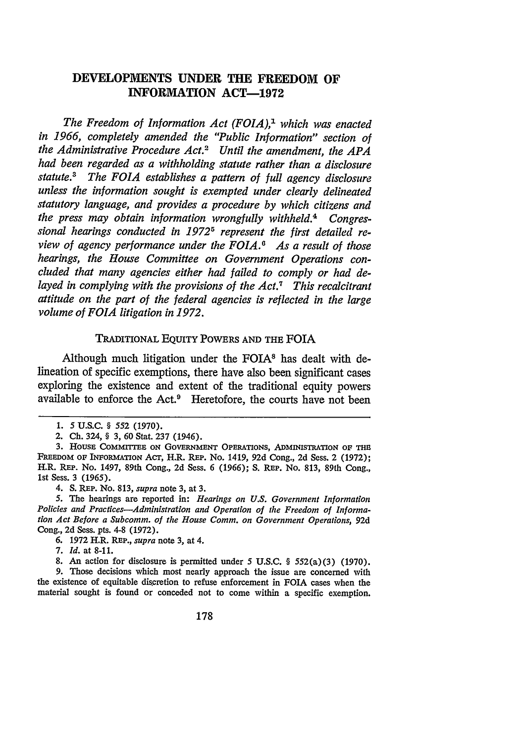# **DEVELOPMENTS UNDER THE FREEDOM OF INFORMATION ACT-1972**

The Freedom of Information Act (FOIA),<sup>1</sup> which was enacted *in 1966, completely amended the "Public Information" section of the Administrative Procedure Act.2 Until the amendment, the APA had been regarded as a withholding statute rather than a disclosure statute.3 The FOIA establishes a pattern of full agency disclosure unless the information sought is exempted under clearly delineated statutory language, and provides a procedure by which citizens and the press may obtain information wrongfully withheld.4 Congressional hearings conducted in 19725 represent the first detailed review of agency performance under the FOIA. As a result of those hearings, the House Committee on Government Operations concluded that many agencies either had failed to comply or had delayed in complying with the provisions of the Act.7 This recalcitrant attitude on the part of the federal agencies is reflected in the large volume of FOIA litigation in 1972.*

## TRADITIONAL EQUITY POWERS AND THE FOIA

Although much litigation under the FOIA8 has dealt with **de**lineation of specific exemptions, there have also been significant cases exploring the existence and extent of the traditional equity powers available to enforce the Act.9 Heretofore, the courts have not been

**9.** Those decisions which most nearly approach the issue are concerned with the existence of equitable discretion to refuse enforcement in FOIA cases when the material sought is found or conceded not to come within a specific exemption.

**<sup>1.</sup>** 5 **U.&C.** § 552 (1970).

<sup>2.</sup> **Ch.** 324, § 3, 60 Stat. 237 (1946).

**<sup>3.</sup>** HousE COMMITTE ON GOVERNMENT OPERATIONS, ADMINISTRATION **OF THE** FREEDOM OF INFORMATION Acr, H.R. REP. No. 1419, **92d** Cong., **2d** Sess. 2 **(1972);** H.R. REP. No. 1497, 89th Cong., **2d** Sess. *6 (1966); S.* REP. No. **813,** 89th Cong., **1st** Sess. 3 *(1965).*

<sup>4.</sup> **S.** REP. No. **813,** *supra* note **3,** at **3.**

**<sup>5.</sup>** The hearings are reported in: *Hearings on U.S. Government Information Policies and Practices-Administration and Operation of the Freedom of Information Act Before a Subcomm. of the House Comm. on Government Operations,* 92d Cong., 2d Sess. pts. 4-8 (1972).

<sup>6. 1972</sup> H.R. REP., *supra* note 3, at 4.

<sup>7.</sup> *Id.* at **8-11.**

**<sup>8.</sup>** An action for disclosure is permitted under *5* **U.S.C.** § 552(a) **(3) (1970).**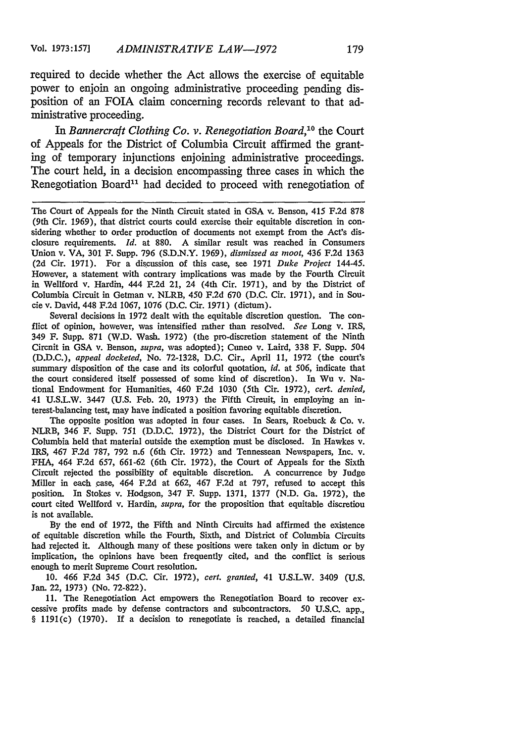required to decide whether the Act allows the exercise of equitable power to enjoin an ongoing administrative proceeding pending disposition of an FOIA claim concerning records relevant to that administrative proceeding.

*In Bannercraft Clothing Co. v. Renegotiation Board,10* the Court of Appeals for the District of Columbia Circuit affirmed the granting of temporary injunctions enjoining administrative proceedings. The court held, in a decision encompassing three cases in which the Renegotiation Board'1 had decided to proceed with renegotiation of

Several decisions in 1972 dealt with the equitable discretion question. The conflict of opinion, however, was intensified rather than resolved. *See* Long v. IRS, 349 F. Supp. 871 (W.D. Wash. 1972) (the pro-discretion statement of the Ninth Circuit in GSA v. Benson, *supra,* was adopted); Cuneo v. Laird, 338 F. **Supp.** 504 (D.D.C.), *appeal docketed,* No. 72-1328, D.C. Cir., April 11, 1972 (the court's summary disposition of the case and its colorful quotation, *id.* at 506, indicate that the court considered itself possessed of some kind of discretion). In Wu v. National Endowment for Humanities, 460 F.2d 1030 (5th Cir. 1972), *cert. denied,* 41 U.S.L.W. 3447 (U.S. Feb. 20, 1973) the Fifth Circuit, in employing an interest-balancing test, may have indicated a position favoring equitable discretion.

The opposite position was adopted in four cases. In Sears, Roebuck & Co. v. NLRB, 346 F. Supp. 751 (D.D.C. 1972), the District Court for the District of Columbia held that material outside the exemption must be disclosed. In Hawkes v. IRS, 467 F.2d 787, 792 n.6 (6th Cir. 1972) and Tennessean Newspapers, Inc. v. FHA, 464 **F.2d** 657, 661-62 (6th Cir. 1972), the Court of Appeals for the Sixth Circuit rejected the possibility of equitable discretion. A concurrence by Judge Miller in each case, 464 F.2d at 662, 467 F.2d at 797, refused to accept this position. In Stokes v. Hodgson, 347 F. Supp. 1371, 1377 (N.D. Ga. 1972), the court cited Wellford v. Hardin, *supra,* for the proposition that equitable discretion is not available.

**By** the end of 1972, the Fifth and Ninth Circuits had affirmed the existence of equitable discretion while the Fourth, Sixth, and District of Columbia Circuits had rejected it. Although many of these positions were taken only in dictum or by implication, the opinions have been frequently cited, and the conflict is serious enough to merit Supreme Court resolution.

10. 466 F.2d 345 (D.C. Cir. 1972), *cert. granted,* 41 U.S.L.W. 3409 (U.S. Jan. 22, 1973) (No. 72-822).

11. The Renegotiation Act empowers the Renegotiation Board to recover excessive profits made by defense contractors and subcontractors. **50 U.S.C.** app., § 1191(c) (1970). **If** a decision to renegotiate is reached, a detailed financial

The Court of Appeals for the Ninth Circuit stated in GSA v. Benson, 415 F.2d 878 (9th Cir. 1969), that district courts could exercise their equitable discretion in considering whether to order production of documents not exempt from the Act's disclosure requirements. *Id.* at 880. A similar result was reached in Consumers Union v. VA, 301 F. Supp. 796 (S.D.N.Y. 1969), *dismissed as moot,* 436 F.2d 1363 (2d Cir. 1971). For a discussion of this case, see 1971 *Duke Project* 144-45. However, a statement with contrary implications was made by the Fourth Circuit in Wellford v. Hardin, 444 F.2d 21, 24 (4th Cir. 1971), and by the District of Columbia Circuit in Getman v. NLRB, 450 F.2d 670 (D.C. Cir. 1971), and in Soucie v. David, 448 F.2d 1067, 1076 (D.C. Cir. 1971) (dictum).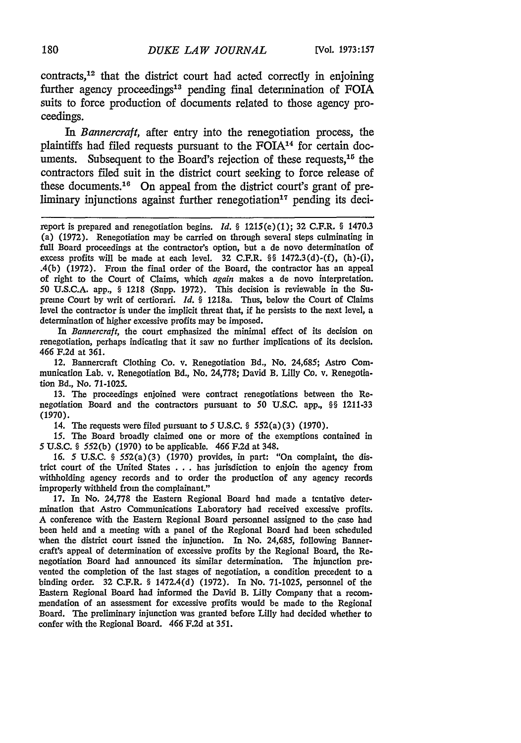$contrast<sub>12</sub>$  that the district court had acted correctly in enjoining further agency proceedings<sup>13</sup> pending final determination of FOIA suits to force production of documents related to those agency proceedings.

*In Bannercraft,* after entry into the renegotiation process, the plaintiffs had filed requests pursuant to the FOIA<sup>14</sup> for certain documents. Subsequent to the Board's rejection of these requests,  $1<sup>5</sup>$  the contractors filed suit in the district court seeking to force release of these documents.<sup>16</sup> On appeal from the district court's grant of preliminary injunctions against further renegotiation<sup>17</sup> pending its deci-

*In Bannercraft,* the court emphasized the minimal effect of its decision on renegotiation, perhaps indicating that it saw no further implications of its decision. 466 F.2d at 361.

12. Bannercraft Clothing Co. v. Renegotiation Bd., No. 24,685; Astro Communication Lab. v. Renegotiation Bd., No. 24,778; David B. Lilly Co. v. Renegotiation Bd., No. 71-1025.

13. The proceedings enjoined were contract renegotiations between the Renegotiation Board and the contractors pursuant to 50 U.S.C. app., §§ 1211-33 (1970).

14. The requests were filed pursuant to 5 U.S.C. **§** 552(a) (3) (1970).

15. The Board broadly claimed one or more of the exemptions contained in 5 U.S.C. **§** 552(b) (1970) to be applicable. 466 F.2d at 348.

*16. 5* U.S.C. **§** 552(a) (3) (1970) provides, in part: "On complaint, the district court of the United States **. . .** has jurisdiction to enjoin the agency from withholding agency records and to order the production of any agency records improperly withheld from the complainant."

17. In No. 24,778 the Eastern Regional Board had made a tentative determination that Astro Communications Laboratory had received excessive profits. A conference with the Eastern Regional Board personnel assigned to the case had been held and a meeting with a panel of the Regional Board had been scheduled when the district court issned the injunction. In No. 24,685, following Bannercraft's appeal of determination of excessive profits by the Regional Board, the Renegotiation Board had announced its similar determination. The injunction prevented the completion of the last stages of negotiation, a condition precedent to a binding order. 32 C.F.R. § 1472.4(d) (1972). In No. 71-1025, personnel of the Eastern Regional Board had informed the David B. Lilly Company that a recommendation of an assessment for excessive profits would be made to the Regional Board. The preliminary injunction was granted before Lilly had decided whether to confer with the Regional Board. 466 F.2d at 351.

report is prepared and renegotiation begins. *Id. §* 1215(e) (1); 32 C.F.R. § 1470.3 (a) (1972). Renegotiation may be carried on through several steps culminating in full Board proceedings at the contractor's option, but a de novo determination of excess profits will be made at each level. 32 C.F.R. **§** 1472.3(d)-(f), (h)-(i), .4(b) (1972). From the final order of the Board, the contractor has an appeal of right to the Court of Claims, which again makes a de novo interpretation. **50** U.S.C.A. app., § 1218 (Supp. 1972). This decision is reviewable in the Supreme Court by writ of certiorari. *Id.* **§** 1218a. Thus, below the Court of Claims level the contractor is under the implicit threat that, if he persists to the next level, a determination of higher excessive profits may be imposed.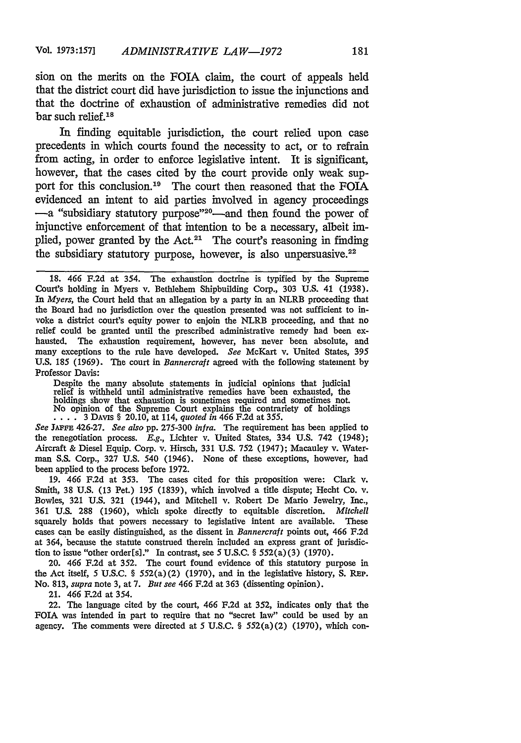sion on the merits on the FOIA claim, the court of appeals held that the district court did have jurisdiction to issue the injunctions and that the doctrine of exhaustion of administrative remedies did not bar such relief.<sup>18</sup>

In finding equitable jurisdiction, the court relied upon case precedents in which courts found the necessity to act, or to refrain from acting, in order to enforce legislative intent. It is significant, however, that the cases cited by the court provide only weak support for this conclusion.<sup>19</sup> The court then reasoned that the FOIA evidenced an intent to aid parties involved in agency proceedings -a "subsidiary statutory purpose"<sup>20</sup>-and then found the power of injunctive enforcement of that intention to be a necessary, albeit implied, power granted by the Act.<sup>21</sup> The court's reasoning in finding the subsidiary statutory purpose, however, is also unpersuasive.<sup>22</sup>

Despite the many absolute statements in judicial opinions that judicial relief is withheld until administrative remedies have been exhausted, the holdings show that exhaustion is sometimes required and sometimes not. No opinion of the Supreme Court explains the contrariety of holdings  $\dots$  3 DAvis § 20.10, at 114, *quoted in* 466 F.2d at 355.

See JAFFE 426-27. *See also pp. 275-300 infra.* The requirement has been applied to the renegotiation process. *E.g.,* Lichter v. United States, 334 U.S. 742 (1948); Aircraft & Diesel Equip. Corp. v. Hirsch, 331 U.S. 752 (1947); Macauley v. Waterman **S.S.** Corp., 327 U.S. 540 (1946). None of these exceptions, however, had been applied to the process before 1972.

19. 466 F.2d at 353. The cases cited for this proposition were: Clark v. Smith, 38 U.S. (13 Pet.) 195 (1839), which involved a title dispute; Hecht Co. v. Bowles, 321 U.S. 321 (1944), and Mitchell v. Robert De Mario Jewelry, Inc., **361** U.S. **288** (1960), which spoke directly to equitable discretion. *Mitchell* squarely holds that powers necessary to legislative intent are available. These cases can be easily distinguished, as the dissent in *Bannercraft* points out, 466 F.2d at 364, because the statute construed therein included an express grant of jurisdiction to issue "other order[s]." In contrast, see **5** U.S.C. § 552(a)(3) (1970).

20. 466 F.2d at 352. The court found evidence of this statutory purpose in the Act itself, 5 U.S.C. § 552(a)(2) (1970), and in the legislative history, S. Rep. No. 813, *supra* note 3, at 7. *But see* 466 F.2d at 363 (dissenting opinion).

21. 466 F.2d at 354.

22. The language cited by the court, 466 F.2d at 352, indicates only that the FOIA was intended in part to require that no "secret law" could be used by an agency. The comments were directed at 5 U.S.C. § 552(a) (2) (1970), which con-

<sup>18. 466</sup> F.2d at 354. The exhaustion doctrine is typified by the Supreme Court's holding in Myers v. Bethlehem Shipbuilding Corp., 303 U.S. 41 (1938). *In Myers,* the Court held that an allegation by a party in an NLRB proceeding that the Board had no jurisdiction over the question presented was not sufficient to invoke a district court's equity power to enjoin the NLRB proceeding, and that no relief could be granted until the prescribed administrative remedy had been exhausted. The exhaustion requirement, however, has never been absolute, and many exceptions to the rule have developed. *See* McKart v. United States, 395 U.S. **185** (1969). The court in *Bannercraft* agreed with the following statement **by** Professor Davis: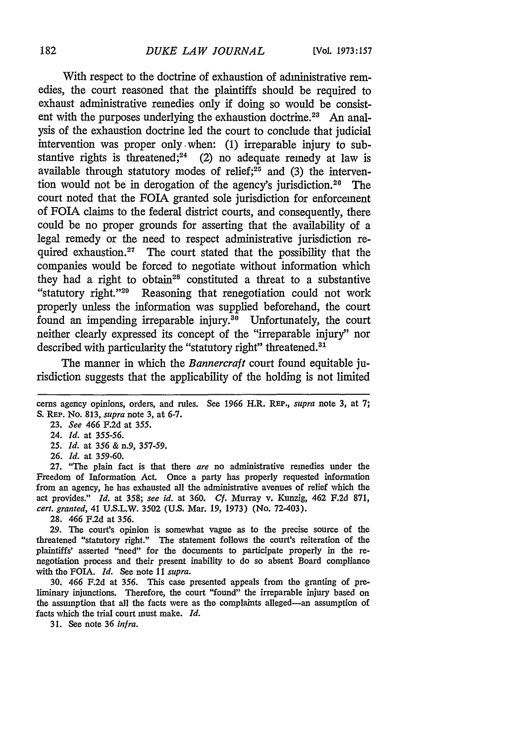With respect to the doctrine of exhaustion of administrative remedies, the court reasoned that the plaintiffs should be required to exhaust administrative remedies only if doing so would be consistent with the purposes underlying the exhaustion doctrine.<sup>23</sup> An analysis of the exhaustion doctrine led the court to conclude that judicial intervention was proper only. when: (1) irreparable injury to substantive rights is threatened;<sup>24</sup> (2) no adequate remedy at law is available through statutory modes of relief; $2<sup>5</sup>$  and (3) the intervention would not be in derogation of the agency's jurisdiction.<sup>20</sup> The court noted that the FOIA granted sole jurisdiction for enforcement of FOIA claims to the federal district courts, and consequently, there could be no proper grounds for asserting that the availability of a legal remedy or the need to respect administrative jurisdiction required exhaustion.<sup>27</sup> The court stated that the possibility that the companies would be forced to negotiate without information which they had a right to obtain<sup>28</sup> constituted a threat to a substantive "statutory right."<sup>29</sup> Reasoning that renegotiation could not work properly unless the information was supplied beforehand, the court found an impending irreparable injury. $30$  Unfortunately, the court neither clearly expressed its concept of the "irreparable injury" nor described with particularity the "statutory right" threatened.<sup>31</sup>

The manner in which the *Bannercraft* court found equitable jurisdiction suggests that the applicability of the holding is not limited

- *25. Id.* at 356 & n.9, 357-59.
- 26. *Id.* at 359-60.

27. "The plain fact is that there *are* no administrative remedies under the Freedom of Information Act. Once a party has properly requested information from an agency, he has exhausted all the administrative avenues of relief which the act provides." *Id.* at 358; *see id.* at 360. *Cf.* Murray v. Kunzig, 462 F.2d 871, *cert. granted,* 41 U.S.L.W. 3502 (U.S. Mar. 19, 1973) (No. 72-403).

28. 466 F.2d at 356.

29. The court's opinion is somewhat vague as to the precise source of the threatened "statutory right." The statement follows the court's reiteration of the plaintiffs' asserted "need" for the documents to participate properly in the renegotiation process and their present inability to do so absent Board compliance with the FOIA. *Id.* See note 11 *supra.*

30. 466 F.2d at 356. This case presented appeals from the granting of preliminary injunctions. Therefore, the court "found" the irreparable injury based on the assumption that all the facts were as the complaints alleged-an assumption of facts which the trial court must make. *Id.*

31. See note 36 *infra.*

cerns agency opinions, orders, and rules. See 1966 H.R. **REP.,** supra note 3, at 7; S. **REP.** No. 813, supra note 3, at 6-7.

<sup>23.</sup> *See* 466 F.2d at 355.

<sup>24.</sup> *Id.* at 355-56.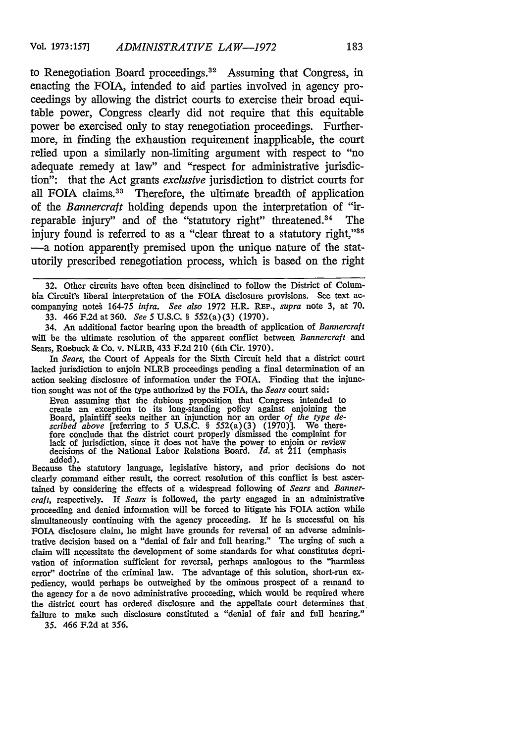to Renegotiation Board proceedings.<sup>32</sup> Assuming that Congress, in enacting the FOIA, intended to aid parties involved in agency proceedings by allowing the district courts to exercise their broad equitable power, Congress clearly did not require that this equitable power be exercised only to stay renegotiation proceedings. Furthermore, in finding the exhaustion requirement inapplicable, the court relied upon a similarly non-limiting argument with respect to "no adequate remedy at law" and "respect for administrative jurisdiction": that the Act grants *exclusive* jurisdiction to district courts for all FOIA claims.<sup>33</sup> Therefore, the ultimate breadth of application of the *Bannercraft* holding depends upon the interpretation of "irreparable injury" and of the "statutory right" threatened.<sup>34</sup> The injury found is referred to as a "clear threat to a statutory right,"<sup>35</sup> -a notion apparently premised upon the unique nature of the statutorily prescribed renegotiation process, which is based on the right

32. Other circuits have often been disinclined to follow the District of Columbia Circuit's liberal interpretation of the **FOA** disclosure provisions. See text accompanying note& 164-75 *infra. See also* 1972 H.R. **REP.,** *supra* note 3, at 70. 33. 466 F.2d at 360. *See* **5** U.S.C. § 552(a)(3) (1970).

34. An additional factor bearing upon the breadth of application of *Bannercraft* will be the ultimate resolution of the apparent conflict between *Bannercraft and* Sears, Roebuck & Co. v. NLRB, 433 F.2d 210 (6th Cir. 1970).

*In Sears,* the Court of Appeals for the Sixth Circuit held that a district court lacked jurisdiction to enjoin NLRB proceedings pending a final determination of an action seeking disclosure of information under the FOIA. Finding that the injunction sought was not of the type authorized by the **FOIA,** the *Sears* court said:

Even assuming that the dubious proposition that Congress intended to create an exception to its long-standing policy against enjoining the Board, plaintiff seeks neither an injunction nor an order *of the type de*scribed above [referring to 5 U.S.C. § 552(a)(3) (1970)]. We therefore conclude that the district court properly dismissed the complaint for lack of jurisdiction, since it does not have the power to enjoin or review decis added).

Because the statutory language, legislative history, and prior decisions do not clearly command either result, the correct resolution of this conflict is best ascertained by considering the effects of a widespread following of *Sears and Bannercraft,* respectively. If *Sears* is followed, the party engaged in an administrative proceeding and denied information will be forced to litigate his **FOIA** action while simultaneously continuing with the agency proceeding. If he is successful on his FOIA disclosure claim, he might have grounds for reversal of an adverse administrative decision based on a "denial of fair and full hearing." The urging of such a claim will necessitate the development of some standards for what constitutes deprivation of information sufficient for reversal, perhaps analogous to the "harmless error" doctrine of the criminal law. The advantage of this solution, short-run expediency, would perhaps be outweighed by the ominous prospect of a remand to the agency for a de novo administrative proceeding, which would be required where the district court has ordered disclosure and the appellate court determines that failure to make such disclosure constituted a "denial of fair and full hearing." 35. 466 **F.2d** at 356.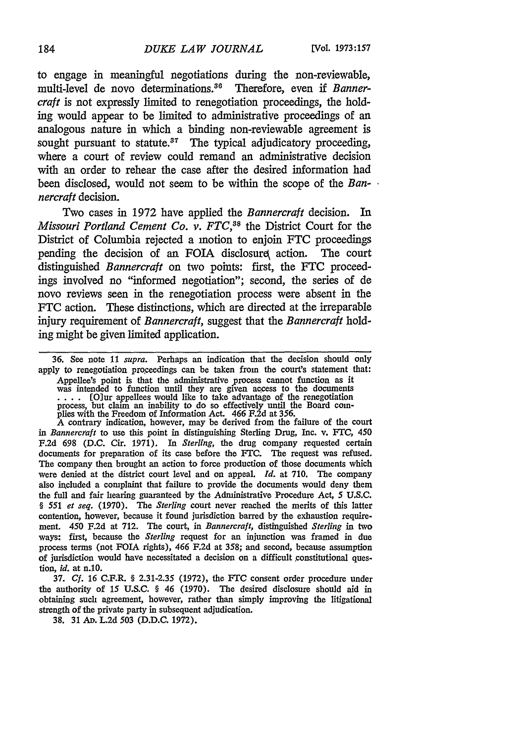to engage in meaningful negotiations during the non-reviewable, multi-level de novo determinations.<sup>36</sup> Therefore, even if *Bannercraft* is not expressly limited to renegotiation proceedings, the holding would appear to be limited to administrative proceedings of an analogous nature in which a binding non-reviewable agreement is sought pursuant to statute.<sup>37</sup> The typical adjudicatory proceeding, where a court of review could remand an administrative decision with an order to rehear the case after the desired information had been disclosed, would not seem to be within the scope of the *Bannercraft* decision.

Two cases in 1972 have applied the *Bannercraft* decision. In *Missouri Portland Cement Co. v. FTC,38* the District Court for the District of Columbia rejected a motion to enjoin FTC proceedings pending the decision of an FOIA disclosure action. The court distinguished *Bannercraft* on two points: first, the FTC proceedings involved no "informed negotiation"; second, the series of de novo reviews seen in the renegotiation process were absent in the FTC action. These distinctions, which are directed at the irreparable injury requirement of *Bannercraft,* suggest that the *Bannercraft* holding might be given limited application.

36. See note 11 *supra.* Perhaps an indication that the decision should only apply to renegotiation proceedings can be taken from the court's statement that: Appellee's point is that the administrative process cannot function as it was intended to function until they are given access to the documents **....** [Olur appellees would like to take advantage of the renegotiation process, but claim an inability to do so effectively until the Board com- plies with the Freedom of Information Act. 466 F.2d at 356.

A contrary indication, however, may be derived from the failure of the court *in Bannerceaft* to use this point in distinguishing Sterling Drug, Inc. v. FTC, 450 F.2d 698 (D.C. Cir. 1971). In *Sterling,* the drug company requested certain documents for preparation of its case before the FTC. The request was refused. The company then brought an action to force production of those documents which were denied at the district court level and on appeal. *Id.* at 710. The company also included a complaint that failure to provide the documents would deny them the full and fair hearing guaranteed by the Administrative Procedure Act, 5 U.S.C. *§ 551 et seq.* (1970). The *Sterling* court never reached the merits of this latter contention, however, because it found jurisdiction barred by the exhaustion requirement. 450 F.2d at 712. The court, in *Bannercraft,* distinguished *Sterling* in two ways: first, because the *Sterling* request for an injunction was framed in due process terms (not FOIA rights), 466 F.2d at 358; and second, because assumption of jurisdiction would have necessitated a decision on a difficult constitutional question, *id.* at n.10.

37. *Cf.* 16 C.F.R. § 2.31-2.35 (1972), the *FTC* consent order procedure under the authority of 15 U.S.C. § 46 (1970). The desired disclosure should aid in obtaining such agreement, however, rather than simply improving the litigational strength of the private party in subsequent adjudication.

38. 31 Ap. L.2d 503 (D.D.C. 1972).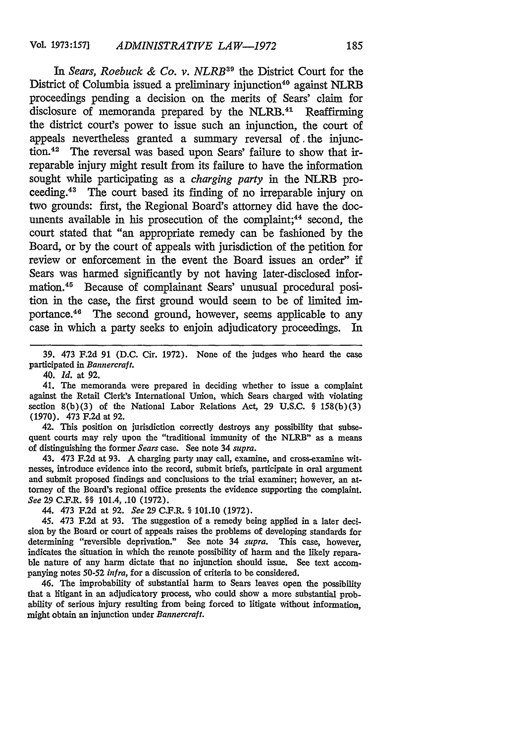*In Sears, Roebuck & Co. v. NLRB39* the District Court for the District of Columbia issued a preliminary injunction<sup>40</sup> against NLRB proceedings pending a decision on the merits of Sears' claim for disclosure of memoranda prepared by the NLRB.<sup>41</sup> Reaffirming the district court's power to issue such an injunction, the court of appeals nevertheless granted a summary reversal of .the injunction.42 The reversal was based upon Sears' failure to show that irreparable injury might result from its failure to have the information sought while participating as a *charging party* in the NLRB proceeding.<sup>43</sup> The court based its finding of no irreparable injury on two grounds: first, the Regional Board's attorney did have the documents available in his prosecution of the complaint;<sup>44</sup> second, the court stated that "an appropriate remedy can be fashioned by the Board, or by the court of appeals with jurisdiction of the petition for review or enforcement in the event the Board issues an order" if Sears was harmed significantly by not having later-disclosed information.45 Because of complainant Sears' unusual procedural position in the case, the first ground would seem to be of limited importance.<sup>46</sup> The second ground, however, seems applicable to any case in which a party seeks to enjoin adjudicatory proceedings. In

39. 473 F.2d 91 (D.C. Cir. 1972). None of the judges who heard the case participated in *Bannercraft.*

*40. Id.* at 92.

41. The memoranda were prepared in deciding whether to issue a complaint against the Retail Clerk's International Union, which Sears charged with violating section  $8(b)(3)$  of the National Labor Relations Act, 29 U.S.C. § 158(b)(3) (1970). 473 F.2d at 92.

42. This position on jurisdiction correctly destroys any possibility that subsequent courts may rely upon the "traditional immunity of the NLRB" as a means of distinguishing the former *Sears* case. See note 34 *supra.*

43. 473 F.2d at 93. A charging party may call, examine, and cross-examine witnesses, introduce evidence into the record, submit briefs, participate in oral argument and submit proposed findings and conclusions to the trial examiner; however, an attorney of the Board's regional office presents the evidence supporting the complaint. *See* 29 C.F.R. §§ 101.4, .10 (1972).

44. 473 F.2d at 92. *See* 29 C.F.R. § 101.10 (1972).

45. 473 F.2d at 93. The suggestion of a remedy being applied in a later decision by the Board or court of appeals raises the problems of developing standards for determining "reversible deprivation." See note 34 *supra.* This case, however, indicates the situation in which the remote possibility of harm and the likely reparable nature of any harm dictate that no injunction should issue. See text accompanying notes 50-52 *infra,* for a discussion of criteria to be considered.

46. The improbability of substantial harm to Sears leaves open the possibility that a litigant in an adjudicatory process, who could show a more substantial probability of serious injury resulting from being forced to litigate without information, might obtain an injunction under *Bannercraft.*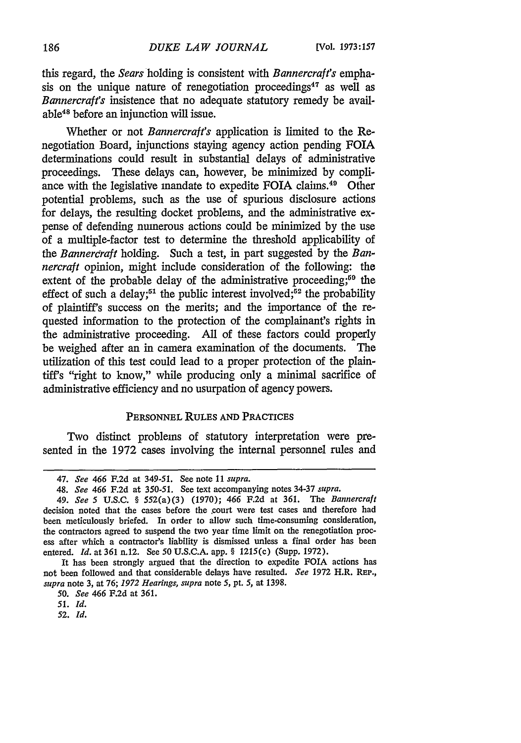this regard, the *Sears* holding is consistent with *Bannercraft's* emphasis on the unique nature of renegotiation proceedings<sup>47</sup> as well as *Bannercraft's* insistence that no adequate statutory remedy be available48 before an injunction will issue.

Whether or not *Bannercraft's* application is limited to the Renegotiation Board, injunctions staying agency action pending FOIA determinations could result in substantial delays of administrative proceedings. These delays can, however, be minimized by compliance with the legislative mandate to expedite FOIA claims.<sup>49</sup> Other potential problems, such as the use of spurious disclosure actions for delays, the resulting docket problems, and the administrative expense of defending numerous actions could be minimized by the use of a multiple-factor test to determine the threshold applicability of the *Bannercraft* holding. Such a test, in part suggested by the *Bannercraft* opinion, might include consideration of the following: the extent of the probable delay of the administrative proceeding;<sup>50</sup> the effect of such a delay;<sup>51</sup> the public interest involved;<sup>52</sup> the probability of plaintiff's success on the merits; and the importance of the requested information to the protection of the complainant's rights in the administrative proceeding. All of these factors could properly be weighed after an in camera examination of the documents. The utilization of this test could lead to a proper protection of the plaintiff's "right to know," while producing only a minimal sacrifice of administrative efficiency and no usurpation of agency powers.

# **PERSONNEL RULES AND** PRACTICES

Two distinct problems of statutory interpretation were presented in the 1972 cases involving the internal personnel rules and

It has been strongly argued that the direction to expedite FOIA actions has not been followed and that considerable delays have resulted. *See* **1972** H.R. REP., *supra* note 3, at 76; *1972 Hearings, supra* note 5, pt. 5, at 1398.

*50. See 466* F.2d at 361.

*52. Id.*

<sup>47.</sup> *See 466* F.2d at 349-51. See note 11 *supra.*

<sup>48.</sup> *See 466* F.2d at 350-51. See text accompanying notes 34-37 *supra.*

*<sup>49.</sup> See 5* **U.S.C.** § 552(a)(3) (1970); 466 F.2d at 361. The *Bannercraft* decision noted that the cases before the court were test cases and therefore had been meticulously briefed. In order to allow such time-consuming consideration, the contractors agreed to suspend the two year time limit on the renegotiation process after which a contractor's liability is dismissed unless a final order has been entered. *Id.* at 361 n.12. See 50 U.S.C.A. app. § 1215(c) (Supp. 1972).

*<sup>51.</sup> Id.*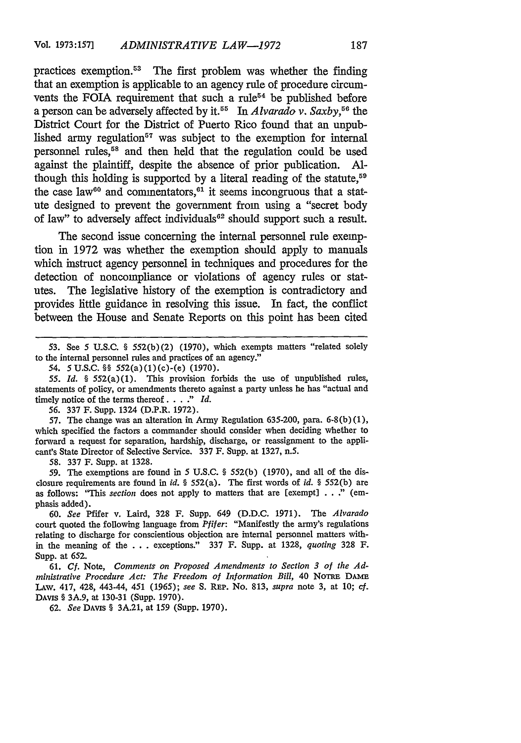practices exemption.<sup>53</sup> The first problem was whether the finding that an exemption is applicable to an agency rule of procedure circumvents the FOIA requirement that such a rule<sup> $54$ </sup> be published before a person can be adversely affected by it.55 In *Alvarado v. Saxby, <sup>6</sup>*the District Court for the District of Puerto Rico found that an unpublished army regulation<sup>57</sup> was subject to the exemption for internal personnel rules,58 and then held that the regulation could be used against the plaintiff, despite the absence of prior publication. Although this holding is supported by a literal reading of the statute,<sup>59</sup> the case law<sup>60</sup> and commentators,  $61$  it seems incongruous that a statute designed to prevent the government from using a "secret body of law" to adversely affect individuals<sup>62</sup> should support such a result.

The second issue concerning the internal personnel rule exemption in 1972 was whether the exemption should apply to manuals which instruct agency personnel in techniques and procedures for the detection of noncompliance or violations of agency rules or statutes. The legislative history of the exemption is contradictory and provides little guidance in resolving this issue. In fact, the conflict between the House and Senate Reports on this point has been cited

*55. Id. §* 552(a)(1). This provision forbids the use of unpublished rules, statements of policy, or amendments thereto against a party unless he has "actual and timely notice of the terms thereof. . . **."** *Id.*

**56.** 337 F. Supp. 1324 (D.P.R. 1972).

57. The change was an alteration in Army Regulation 635-200, para. 6-8(b) (1), which specified the factors a commander should consider when deciding whether to forward a request for separation, hardship, discharge, or reassignment to the applicant's State Director of Selective Service. 337 F. Supp. at 1327, n.5.

58. 337 F. Supp. at 1328.

59. The exemptions are found in **5** U.S.C. § 552(b) (1970), and all of the disclosure requirements are found in *id. §* 552(a). The first words of *id. §* 552(b) are as follows: 'This *section* does not apply to matters that are [exempt] . . ." (emphasis added).

**60.** *See* Pfifer v. Laird, 328 F. Supp. 649 (D.D.C. 1971). The *Alvarado* court quoted the following language from *Pifer:* "Manifestly the army's regulations relating to discharge for conscientious objection are internal personnel matters within the meaning of the . . . exceptions." 337 F. Supp. at 1328, *quoting* 328 F. Supp. at 652.

61. *Cf.* Note, *Comments on Proposed Amendments to Section 3 of the Administrative Procedure Act: The Freedom of Information Bill,* 40 NOTRE DAME LAw. 417, 428, 443-44, 451 *(1965); see* **S.** REP. No. 813, *supra* note 3, at 10; *cf.* DAvIs § 3A.9, at 130-31 (Supp. 1970).

62. *See* DAViS § 3A.21, at 159 (Supp. 1970).

<sup>53.</sup> See 5 **US.C.** § 552(b)(2) (1970), which exempts matters "related solely to the internal personnel rules and practices of an agency."

<sup>54.</sup> **5U.S.C.** §§ 552(a)(1)(c)-(e) (1970).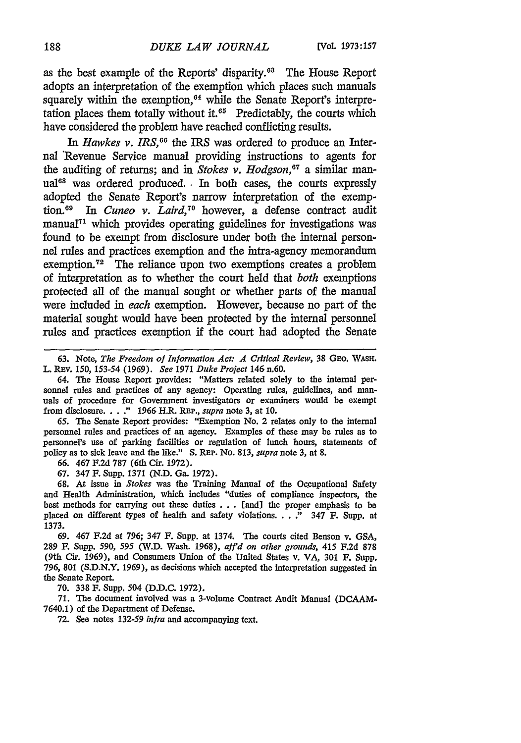as the best example of the Reports' disparity.<sup>63</sup> The House Report adopts an interpretation of the exemption which places such manuals squarely within the exemption,<sup>64</sup> while the Senate Report's interpretation places them totally without it.<sup>65</sup> Predictably, the courts which have considered the problem have reached conflicting results.

In *Hawkes v. IRS*, <sup>66</sup> the IRS was ordered to produce an Internal Revenue Service manual providing instructions to agents for the auditing of returns; and in *Stokes v. Hodgson*,<sup>07</sup> a similar manual<sup>68</sup> was ordered produced. In both cases, the courts expressly adopted the Senate Report's narrow interpretation of the exemption. 9 In *Cuneo v. Laird,70* however, a defense contract audit manual<sup> $71$ </sup> which provides operating guidelines for investigations was found to be exempt from disclosure under both the internal personnel rules and practices exemption and the intra-agency memorandum exemption.72 The reliance upon two exemptions creates a problem of interpretation as to whether the court held that *both* exemptions protected all of the manual sought or whether parts of the manual were included in *each* exemption. However, because no part of the material sought would have been protected by the internal personnel rules and practices exemption if the court had adopted the Senate

63. Note, *The Freedom of Information Act: A Critical Review,* 38 GEo. WAsH. L. REv. 150, 153-54 (1969). *See* 1971 *Duke Project* 146 n.60.

64. The House Report provides: "Matters related solely to the internal personnel rules and practices of any agency: Operating rules, guidelines, and manuals of procedure for Government investigators or examiners would be exempt from disclosure. . . **."** 1966 H.R. **REP.,** *supra* note 3, at 10.

**65. The** Senate Report provides: "Exemption No. 2 relates only to the internal personnel rules and practices of an agency. Examples of these may be rules as to personnel's use of parking facilities or regulation of lunch hours, statements of policy as to sick leave and the like." **S.** REP. No. 813, *supra* note **3,** at 8.

**66.** 467 F.2d 787 (6th Cir. 1972).

67. 347 F. Supp. 1371 **(N.D.** Ga. 1972).

**68.** At issue in *Stokes* was the Training Manual of the Ocupational Safety and Health Administration, which includes "duties of compliance inspectors, the best methods for carrying out these duties . . . [and] the proper emphasis to **be** placed on different types of health and safety violations. . . . " 347 F. Supp. at 1373.

69. 467 F.2d at 796; 347 **F.** Supp. at 1374. The courts cited Benson v. GSA, **289** F. **Supp.** *590, 595* (W.D. Wash. 1968), *aff'd on other grounds,* 415 **F.2d 878** (9th Cir. 1969), and Consumers Union of the United States v. VA, **301 F.** Supp. 796, 801 (S.D.N.Y. 1969), as decisions which accepted the interpretation suggested in the Senate Report.

70. 338 F. Supp. 504 (D.D.C. 1972).

71. The document involved was a 3-volume Contract Audit Manual (DCAAM-7640.1) of the Department of Defense.

**72.** See notes 132-59 *infra* and accompanying text.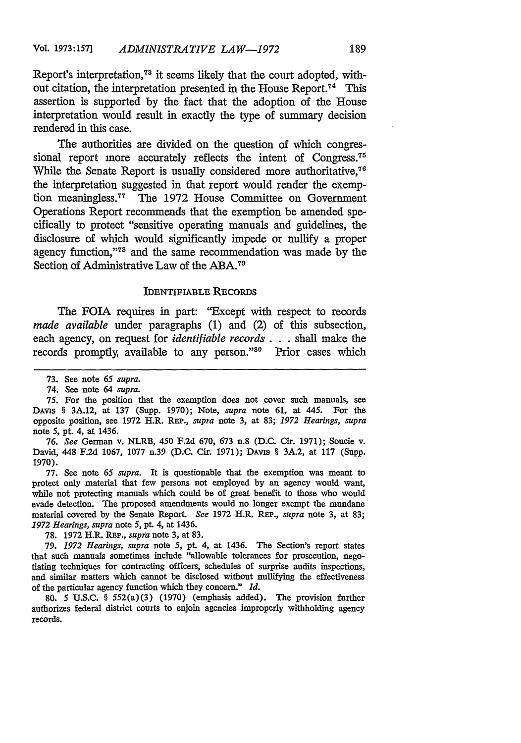Report's interpretation, 73 it seems likely that the court adopted, without citation, the interpretation presented in the House Report.<sup>74</sup> This assertion is supported by the fact that the adoption of the House interpretation would result in exactly the type of summary decision rendered in this case.

The authorities are divided on the question of which congressional report more accurately reflects the intent of Congress.<sup>75</sup> While the Senate Report is usually considered more authoritative,<sup>76</sup> the interpretation suggested in that report would render the exemption meaningless.<sup>77</sup> The 1972 House Committee on Government Operations Report recommends that the exemption be amended specifically to protect "sensitive operating manuals and guidelines, the disclosure of which would significantly impede or nullify a proper agency function,"78 and the same recommendation was made **by** the Section of Administrative Law of the ABA.<sup>79</sup>

#### IDENTIFIABLE RECORDS

The FOIA requires in part: "Except with respect to records *made available* under paragraphs (1) and (2) of this subsection, each agency, on request for *identifiable records.* **. .** shall make the records promptly, available to any person."<sup>80</sup> Prior cases which

77. See note 65 *supra.* It is questionable that the exemption was meant to protect only material that few persons not employed **by** an agency would want, while not protecting manuals which could be of great benefit to those who would evade detection. The proposed amendments would no longer exempt the mundane material covered by the Senate Report. *See* 1972 H.R. REP., *supra* note 3, at 83; *1972 Hearings, supra* note 5, pt. 4, at 1436.

78. 1972 H.R. REP,., *supa* note 3, at 83.

79. *1972 Hearings, supra* note 5, pt. 4, at 1436. The Section's report states that such manuals sometimes include "allowable tolerances for prosecution, negotiating techniques for contracting officers, schedules of surprise audits inspections, and similar matters which cannot be disclosed without nullifying the effectiveness of the particular agency function which they concern." *Id.*

**80.** 5 U.S.C. § 552(a)(3) (1970) (emphasis added). The provision further authorizes federal district courts to enjoin agencies improperly withholding agency records.

<sup>73.</sup> See note 65 *supra.*

<sup>74.</sup> See note 64 *supra.*

<sup>75.</sup> For the position that the exemption does not cover such manuals, see DAvis § 3A.12, at 137 (Supp. 1970); Note, *supra* note **61,** at 445. For the opposite position, see 1972 H.R. REP., *supra* note 3, at 83; *1972 Hearings, supra* note 5, pt. 4, at 1436.

*<sup>76.</sup> See* German v. NLRB, 450 F.2d 670, 673 n.8 (D.C. Cir. 1971); Soucie v. David, 448 **F.2d** 1067, 1077 n.39 (D.C. Cir. 1971); DAVIS § 3A.2, at 117 (Supp. 1970).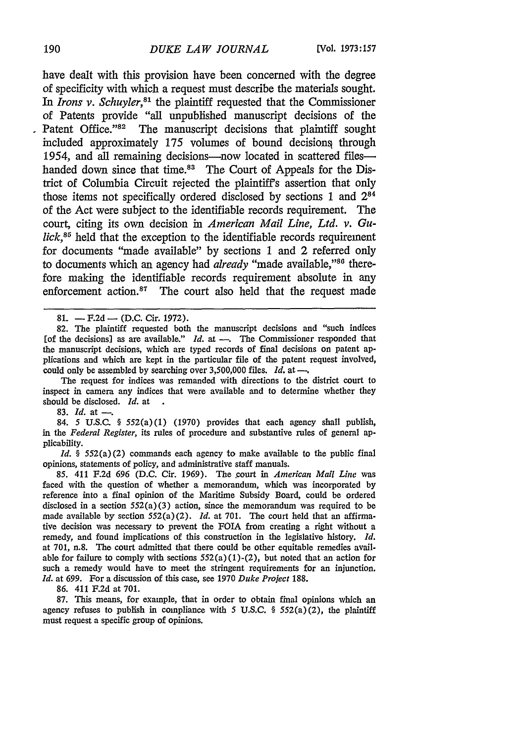have dealt with this provision have been concerned with the degree of specificity with which a request must describe the materials sought. In *Irons v. Schuyler*,<sup>81</sup> the plaintiff requested that the Commissioner of Patents provide "all unpublished manuscript decisions of the Patent Office."<sup>82</sup> The manuscript decisions that plaintiff sought included approximately 175 volumes of bound decisions through 1954, and all remaining decisions-now located in scattered fileshanded down since that time.<sup>83</sup> The Court of Appeals for the District of Columbia Circuit rejected the plaintiff's assertion that only those items not specifically ordered disclosed by sections 1 and 284 of the Act were subject to the identifiable records requirement. The court, citing its own decision in *American Mail Line, Ltd. v. Gulick*,<sup>85</sup> held that the exception to the identifiable records requirement for documents "made available" by sections 1 and 2 referred only to documents which an agency had *already* "made available,"<sup>80</sup> therefore making the identifiable records requirement absolute in any enforcement action.<sup>87</sup> The court also held that the request made

81. - F.2d - (D.C. Cir. 1972).

82. The plaintiff requested both the manuscript decisions and "such indices [of the decisions] as are available." *Id.* at **-.** The Commissioner responded that the manuscript decisions, which are typed records of final decisions on patent applications and which are kept in the particular file of the patent request involved, could only be assembled by searching over 3,500,000 files. *Id.* at -..

The request for indices was remanded with directions to the district court to inspect in camera any indices that were available and to determine whether they should be disclosed. *Id.* at

83. *Id.* at --

84. *5* U.S.C. § 552(a)(1) (1970) provides that each agency shall publish, in the *Federal Register,* its rules of procedure and substantive rules of general applicability.

*Id.* § 552(a)(2) commands each agency to make available to the public final opinions, statements of policy, and administrative staff manuals.

85. 411 F.2d 696 (D.C. Cir. 1969). The court in *American Mail Line* was faced with the question of whether a memorandum, which was incorporated by reference into a final opinion of the Maritime Subsidy Board, could be ordered disclosed in a section  $552(a)(3)$  action, since the memorandum was required to be made available by section 552(a)(2). *Id.* at 701. The court held that an affirmative decision was necessary to prevent the FOIA from creating a right without a remedy, and found implications of this construction in the legislative history. *Id.* at 701, n.8. The court admitted that there could be other equitable remedies available for failure to comply with sections  $552(a)(1)-(2)$ , but noted that an action for such a remedy would have to meet the stringent requirements for an injunction. *Id.* at 699. For a discussion of this case, see 1970 *Duke Project* 188.

86. 411 F.2d at 701.

87. This means, for example, that in order to obtain final opinions which an agency refuses to publish in compliance with **5** U.S.C. § 552(a)(2), the plaintiff must request a specific group of opinions.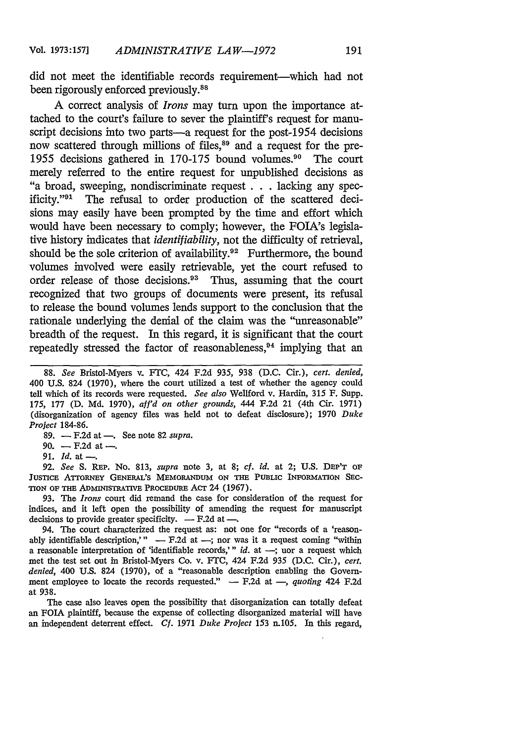did not meet the identifiable records requirement-which had not been rigorously enforced previously.<sup>88</sup>

A correct analysis of *Irons* may turn upon the importance attached to the court's failure to sever the plaintiff's request for manuscript decisions into two parts—a request for the post-1954 decisions now scattered through millions of files,<sup>89</sup> and a request for the pre-1955 decisions gathered in 170-175 bound volumes.<sup>90</sup> The court merely referred to the entire request for unpublished decisions as "a broad, sweeping, nondiscriminate request **. . .** lacking any specificity."<sup>91</sup> The refusal to order production of the scattered decisions may easily have been prompted by the time and effort which would have been necessary to comply; however, the FOJA's legislative history indicates that *identifiability,* not the difficulty of retrieval, should be the sole criterion of availability.<sup>92</sup> Furthermore, the bound volumes involved were easily retrievable, yet the court refused to order release of those decisions.<sup>93</sup> Thus, assuming that the court recognized that two groups of documents were present, its refusal to release the bound volumes lends support to the conclusion that the rationale underlying the denial of the claim was the "unreasonable" breadth of the request. In this regard, it is significant that the court repeatedly stressed the factor of reasonableness, 94 implying that an

**89.** - **F.2d** at *-.* See note 82 *supra.*

92. *See* S. REP. No. 813, *supra* note 3, at **8;** *cf. id.* at 2; U.S. **DEP'T** OF JusIcE **ATroRNEY** GENERAL'S MEMORANDUM **ON THE PU3LIC INFORMATION SEC-TION** OF **THE** ADMINISTRATIVE **PROCEDURE ACT** 24 (1967).

93. The *Irons* court did remand the case for consideration of the request for **indices, and** it left open the possibility of amending the request for manuscript decisions to provide greater specificity.  $-$  F.2d at  $-$ .

94. The court characterized the request as: not one for "records of a 'reasonably identifiable description,"  $-$  F.2d at  $-$ ; nor was it a request coming "within a reasonable interpretation of 'identifiable records,'" *id.* at -; uor a request which met the test set out in Bristol-Myers Co. v. FTC, 424 F.2d 935 (D.C. Cir.), *cert. denied,* 400 U.S. 824 (1970), of a "reasonable description enabling the Government employee to locate the records requested." - F.2d at -, *quoting 424 F.2d* at 938.

The case also leaves open the possibility that disorganization can totally defeat an FOIA plaintiff, because the expense of collecting disorganized material will have an independent deterrent effect. *Cf.* 1971 *Duke Project* **153** n.105. In this regard,

<sup>88.</sup> *See* Bristol-Myers v. FTC, 424 F.2d 935, 938 (D.C. Cir.), *cert. denied,* 400 U.S. 824 (1970), where the court utilized a test of whether the agency could tell which of its records were requested. *See also* Wellford v. Hardin, 315 F. Supp. 175, 177 (D. Md. 1970), *aff'd on other grounds,* 444 F.2d 21 (4th Cir. 1971) (disorganization of agency files was held not to defeat disclosure); 1970 *Duke Project* 184-86.

<sup>90. —</sup> F.2d at —.

<sup>91.</sup> *Id.* at *-.*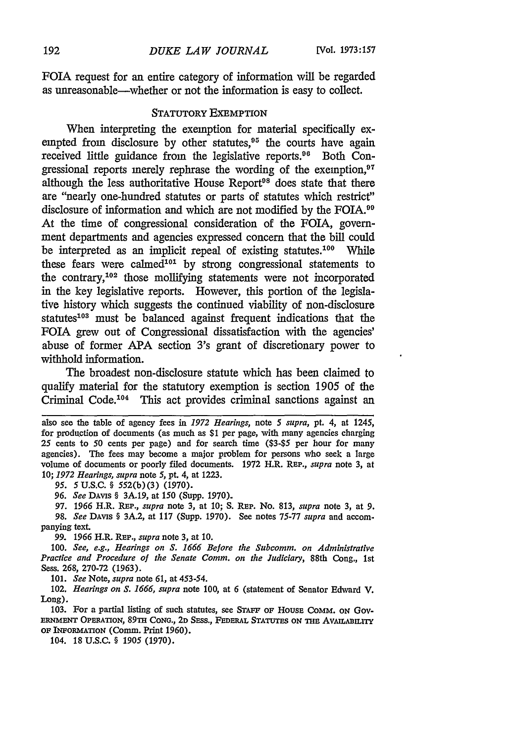FOIA request for an entire category of information will be regarded as unreasonable-whether or not the information is easy to collect.

#### STATUTORY EXEMPTION

When interpreting the exemption for material specifically exempted from disclosure by other statutes,<sup>95</sup> the courts have again received little guidance from the legislative reports.<sup>96</sup> Both Congressional reports merely rephrase the wording of the exemption, $97$ although the less authoritative House Report<sup>98</sup> does state that there are "nearly one-hundred statutes or parts of statutes which restrict" disclosure of information and which are not modified by the FOIA.<sup>99</sup> At the time of congressional consideration of the FOIA, government departments and agencies expressed concern that the bill could be interpreted as an implicit repeal of existing statutes.<sup>100</sup> While these fears were calmed<sup>101</sup> by strong congressional statements to the contrary,<sup>102</sup> those mollifying statements were not incorporated in the key legislative reports. However, this portion of the legislative history which suggests the continued viability of non-disclosure statutes<sup>103</sup> must be balanced against frequent indications that the FOIA grew out of Congressional dissatisfaction with the agencies' abuse of former APA section 3's grant of discretionary power to withhold information.

The broadest non-disclosure statute which has been claimed to qualify material for the statutory exemption is section 1905 of the Criminal Code.'04 This act provides criminal sanctions against an

*95.* 5U.S.C. § 552(b)(3) (1970).

*96. See* DAvis § 3A.19, at 150 (Supp. 1970).

97. 1966 H.R. RP., *supra* note 3, at 10; **S.** REP. No. 813, *supra* note 3, at 9. *98. See* DAvis § 3A.2, at 117 (Supp. 1970). See notes 75-77 *supra* and accompanying text.

*99. 1966* H.R. REP., *supra* note 3, at 10.

100. *See, e.g., Hearings on S. 1666 Before the Subcomm. on Administrative Practice and Procedure of the Senate Comm. on the Judiciary,* 88th Cong., 1st **Sess. 268, 270-72 (1963).**

**101.** *See* Note, *supra* note **61,** at 453-54.

102. *Hearings on S. 1666, supra* note **100,** at **6** (statement of Senator Edward V. Long).

103. For a partial listing of such statutes, see **STAFF** OF HousE COMM. **ON** GOV-ERNMENT OPERATION, **89TH CONG.,** 2D SEss., FEDERAL STATUTES ON THE AvAILABILITy OF INFORMATIoN (Comm. Print 1960).

104. 18 U.S.C. § 1905 (1970).

also see the table of agency fees in *1972 Hearings,* note *5 supra,* pt. *4,* at 1245, for production of documents (as much as \$1 per page, with many agencies charging 25 cents to 50 cents per page) and for search time (\$3-\$5 per hour for many agencies). The fees may become a major problem for persons who seek a large volume of documents or poorly filed documents. 1972 H.R. REP., *supra* note 3, at 10; *1972 Hearings, supra* note *5,* pt. *4,* at 1223.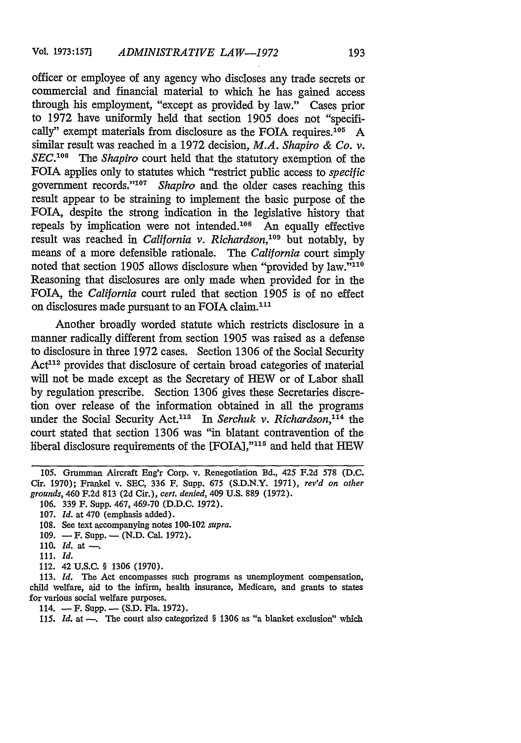officer or employee of any agency who discloses any trade secrets or commercial and financial material to which he has gained access through his employment, "except as provided by law." Cases prior to 1972 have uniformly held that section 1905 does not "specifically" exempt materials from disclosure as the FOIA requires.<sup>105</sup> A similar result was reached in a 1972 decision, *M.A. Shapiro & Co. v. SEC. <sup>0</sup> 6 The Shapiro* court held that the statutory exemption of the FOIA applies only to statutes which "restrict public access to *specific* government records."<sup>107</sup> Shapiro and the older cases reaching this result appear to be straining to implement the basic purpose of the FOIA, despite the strong indication in the legislative history that repeals by implication were not intended.<sup>108</sup> An equally effective result was reached in *California v. Richardson*,<sup>109</sup> but notably, by means of a more defensible rationale. The *California* court simply noted that section 1905 allows disclosure when "provided by law."<sup>110</sup> Reasoning that disclosures are only made when provided for in the FOIA, the *California* court ruled that section 1905 is of no effect on disclosures made pursuant to an FOIA claim.<sup>111</sup>

Another broadly worded statute which restricts disclosure in a manner radically different from section 1905 was raised as a defense to disclosure in three 1972 cases. Section 1306 of the Social Security Act<sup>112</sup> provides that disclosure of certain broad categories of material will not be made except as the Secretary of HEW or of Labor shall by regulation prescribe. Section 1306 gives these Secretaries discretion over release of the information obtained in all the programs under the Social Security Act.<sup>113</sup> In *Serchuk v. Richardson*,<sup>114</sup> the court stated that section 1306 was "in blatant contravention of the liberal disclosure requirements of the [FOIA],"115 and held that HEW

112. 42 **U.S.C. § 1306 (1970).**

113. *Id.* The Act encompasses such programs as unemployment compensation, child welfare, aid to the infirm, health insurance, Medicare, and grants to states for various social welfare purposes.

114. - F. Supp. - (S.D. Fla. 1972).

115. *Id.* at --. The court also categorized § 1306 as "a blanket exclusion" which

**<sup>105.</sup>** Grumman Aircraft Eng'r Corp. v. Renegotiation Bd., 425 F.2d 578 (D.C. Cir. 1970); Frankel v. SEC, 336 F. Supp. **675** (S.D.N.Y. 1971), *rev'd on other grounds,* 460 F.2d 813 (2d Cir.), *cert. denied,* 409 U.S. 889 (1972).

<sup>106. 339</sup> F. Supp. 467, **469-70 (D.D.C. 1972).**

**<sup>107.</sup>** *Id.* at 470 (emphasis added).

<sup>108.</sup> See text accompanying notes 100-102 *supra.*

<sup>109. -</sup> F. Supp. - (N.D. Cal. 1972).

<sup>110.</sup> *Id.* at -

**<sup>111.</sup>** *Id.*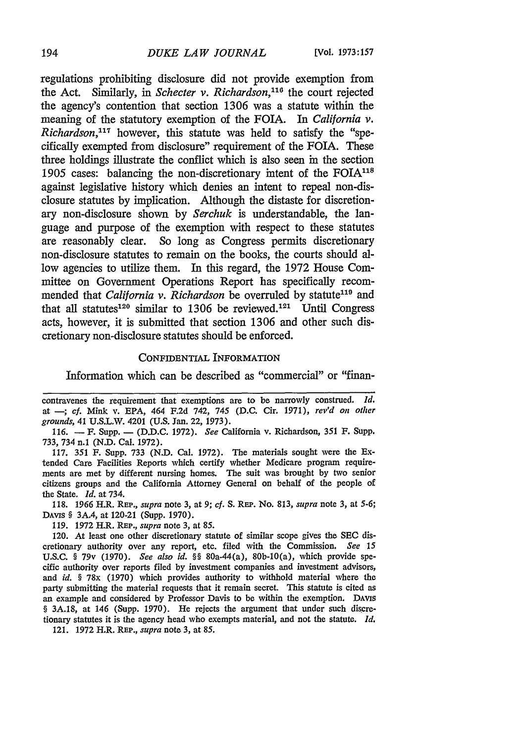regulations prohibiting disclosure did not provide exemption from the Act. Similarly, in *Schecter v. Richardson,'"* the court rejected the agency's contention that section **1306** was a statute within the meaning of the statutory exemption of the FOIA. In *California v. Richardson*,<sup>117</sup> however, this statute was held to satisfy the "specifically exempted from disclosure" requirement of the FOIA. These three holdings illustrate the conflict which is also seen in the section 1905 cases: balancing the non-discretionary intent of the FOIA $118$ against legislative history which denies an intent to repeal non-disclosure statutes by implication. Although the distaste for discretionary non-disclosure shown by *Serchuk* is understandable, the language and purpose of the exemption with respect to these statutes are reasonably clear. So long as Congress permits discretionary non-disclosure statutes to remain on the books, the courts should allow agencies to utilize them. In this regard, the 1972 House Committee on Government Operations Report has specifically recommended that *California v. Richardson* be overruled by statute<sup>119</sup> and that all statutes<sup>120</sup> similar to 1306 be reviewed.<sup>121</sup> Until Congress acts, however, it is submitted that section 1306 and other such discretionary non-disclosure statutes should be enforced.

#### CONFIDENTIAL INFORMATION

Information which can be described as "commercial" or "finan-

**116. -** F. Supp. **- (D.D.C.** 1972). *See* California v. Richardson, 351 F. Supp. 733, 734 n.1 (N.D. Cal. 1972).

117. 351 F. Supp. 733 (N.D. Cal. 1972). The materials sought were the Extended Care Facilities Reports which certify whether Medicare program requirements are met by different nursing homes. The suit was brought by two senior citizens groups and the California Attorney General on behalf of the people of the State. *Id.* at 734.

118. 1966 H.R. REP., *supra* note 3, at 9; *cf.* S. REP. No. 813, *supra* note 3, at 5-6; DAvis § 3A.4, at 120-21 (Supp. 1970).

119. 1972 H.R. **REP.,** *supra* note 3, at 85.

120. At least one other discretionary statute of similar scope gives the **SEC** discretionary authority over any report, etc. filed with the Commission. *See 15* U.S.C. § 79v (1970). *See also id. §§* 80a-44(a), 80b-10(a), which provide specific authority over reports filed by investment companies and investment advisors, and *id.* § 78x (1970) which provides authority to withhold material where the party submitting the material requests that it remain secret. This statute is cited as an example and considered by Professor Davis to be within the exemption. **DAVIS** § 3A.18, at 146 (Supp. 1970). He rejects the argument that under such discretionary statutes it is the agency head who exempts material, and not the statute. *Id.*

121. 1972 H.R. REP., *supra* note 3, at 85.

contravenes the requirement that exemptions are to be narrowly construed. *id.* at **-;** cf. Mink v. EPA, 464 F.2d 742, 745 (D.C. Cir. 1971), *rev'd on other grounds,* 41 **U.S.L.W.** 4201 **(U.S.** Jan. 22, 1973).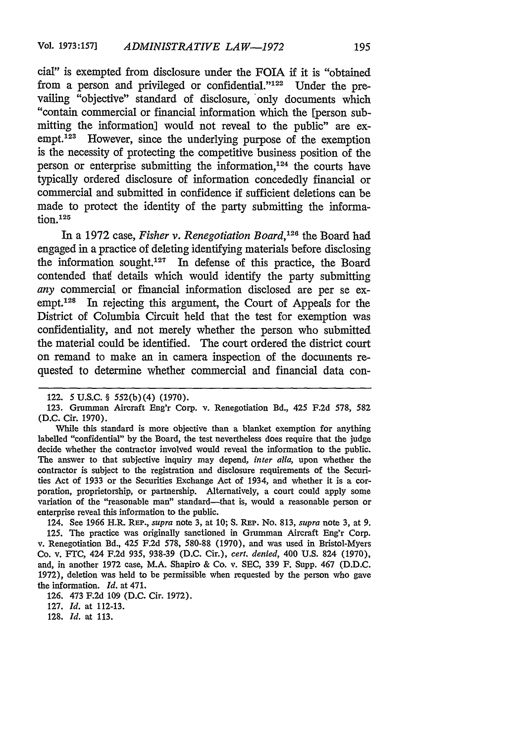cial" is exempted from disclosure under the FOIA if it is "obtained from a person and privileged or confidential." $1^{22}$  Under the prevailing "objective" standard of disclosure, 'only documents which "contain commercial or financial information which the [person submitting the information] would not reveal to the public" are exempt.  $123$  However, since the underlying purpose of the exemption is the necessity of protecting the competitive business position of the person or enterprise submitting the information, $124$  the courts have typically ordered disclosure of information concededly financial or commercial and submitted in confidence if sufficient deletions can be made to protect the identity of the party submitting the information. **<sup>2</sup> <sup>5</sup>**

In a 1972 case, *Fisher v. Renegotiation Board, <sup>26</sup>*the Board had engaged in a practice of deleting identifying materials before disclosing the information sought.<sup>127</sup> In defense of this practice, the Board contended that details which would identify the party submitting *any* commercial or financial information disclosed are per se exempt.<sup>128</sup> In rejecting this argument, the Court of Appeals for the District of Columbia Circuit held that the test for exemption was confidentiality, and not merely whether the person who submitted the material could be identified. The court ordered the district court on remand to make an in camera inspection of the documents requested to determine whether commercial and financial data con-

While this standard is more objective than a blanket exemption for anything labelled "confidential" by the Board, the test nevertheless does require that the judge decide whether the contractor involved would reveal the information to the public. The answer to that subjective inquiry may depend, *inter alia,* upon whether the contractor is subject to the registration and disclosure requirements of the Securities Act of 1933 or the Securities Exchange Act of 1934, and whether it is a corporation, proprietorship, or partnership. Alternatively, a court could apply some variation of the "reasonable man" standard-that is, would a reasonable person or enterprise reveal this information to the public.

124. See 1966 H.R. **REP.,** *supra* note 3, at **10; S. REP.** No. 813, *supra* note 3, at 9. 125. The practice was originally sanctioned in Grumman Aircraft Eng'r Corp. v. Renegotiation Bd., 425 F.2d 578, 580-88 (1970), and was used in Bristol-Myers Co. v. FrC, 424 F.2d 935, 938-39 (D.C. Cir.), *cert. denied,* 400 U.S. 824 (1970), and, in another 1972 case, M.A. Shapiro & Co. v. SEC, 339 F. Supp. 467 (D.D.C. 1972), deletion was held to be permissible when requested by the person who gave the information. *Id.* at 471.

128. *Id.* at **113.**

<sup>122. 5</sup> U.S.C. § 552(b)(4) (1970).

<sup>123.</sup> Grumman Aircraft Eng'r Corp. v. Renegotiation Bd., 425 F.2d 578, 582 (D.C. Cir. 1970).

<sup>126. 473</sup> F.2d **109** (D.C. Cir. 1972).

<sup>127.</sup> *Id.* at **112-13.**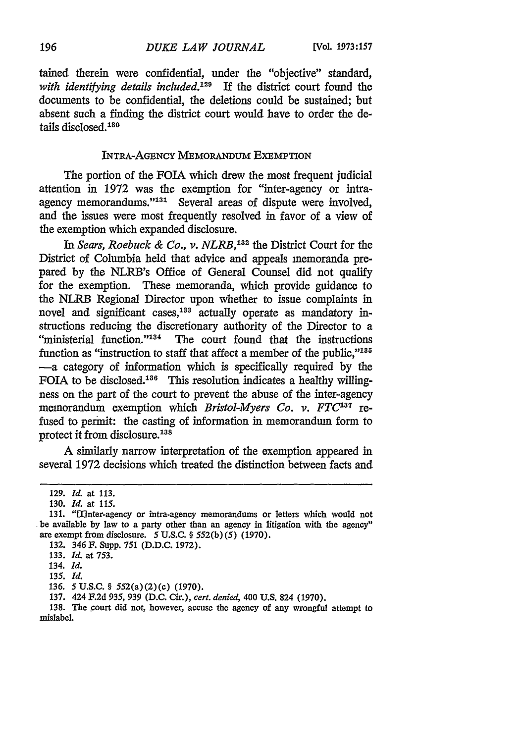tained therein were confidential, under the "objective" standard, *with identifying details included.129* If the district court found the documents to be confidential, the deletions could be sustained; but absent such a finding the district court would have to order the details disclosed.<sup>130</sup>

## INTRA-AGENCY MEMORANDUM EXEMPTION

The portion of the FOIA which drew the most frequent judicial attention in 1972 was the exemption for "inter-agency or intraagency memorandums."<sup>131</sup> Several areas of dispute were involved, and the issues were most frequently resolved in favor of a view of the exemption which expanded disclosure.

*In Sears, Roebuck & Co., v. NLRB,132* the District Court for the District of Columbia held that advice and appeals memoranda prepared by the NLRB's Office of General Counsel did not qualify for the exemption. These memoranda, which provide guidance to the NLRB Regional Director upon whether to issue complaints in novel and significant cases,<sup>133</sup> actually operate as mandatory instructions reducing the discretionary authority of the Director to a "ministerial function."<sup>134</sup> The court found that the instructions function as "instruction to staff that affect a member of the public,"<sup>135</sup> -a category of information which is specifically required by the FOIA to be disclosed.<sup>136</sup> This resolution indicates a healthy willingness on the part of the court to prevent the abuse of the inter-agency memorandum exemption which *Bristol-Myers Co. v. FTC*<sup>137</sup> refused to permit: the casting of information in memorandum form to protect it from disclosure.<sup>138</sup>

A similarly narrow interpretation of the exemption appeared in several 1972 decisions which treated the distinction between facts and

<sup>129.</sup> *Id.* at 113.

<sup>130.</sup> *Id.* at 115.

<sup>131. &</sup>quot;1Inter-agency or intra-agency memorandums or letters which would not be available by law to a party other than an agency in litigation with the agency" are exempt from disclosure. 5 U.S.C. § 552(b) (5) (1970).

<sup>132. 346</sup> F. Supp. 751 (D.D.C. 1972).

<sup>133.</sup> *Id.* at 753.

<sup>134.</sup> *Id.*

*<sup>135.</sup> Id.*

<sup>136.</sup> *5* U.S.C. § 552(a) (2) (c) (1970).

<sup>137. 424</sup> F.2d 935, 939 **(D.C.** Cir.), *cert. denied,* 400 U.S. 824 (1970).

<sup>138.</sup> The court did not, however, accuse the agency of any wrongful attempt to mislabel.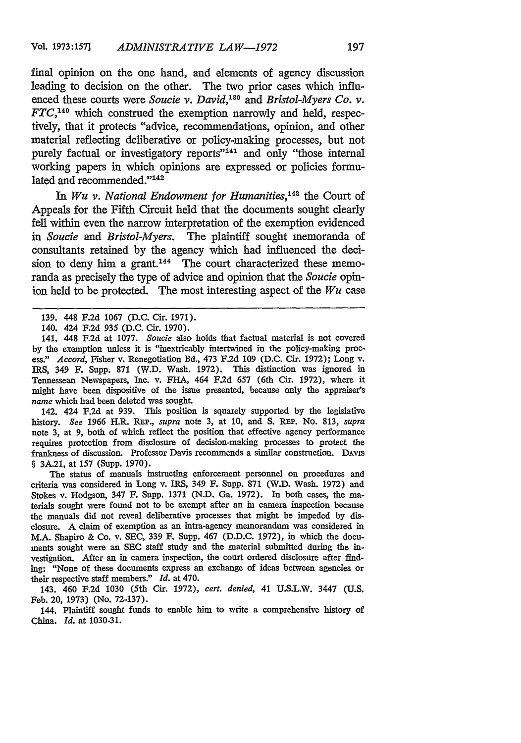final opinion on the one hand, and elements of agency discussion leading to decision on the other. The two prior cases which influenced these courts were *Soucie v. David*,<sup>139</sup> and *Bristol-Myers Co. v. FTC*,<sup>140</sup> which construed the exemption narrowly and held, respectively, that it protects "advice, recommendations, opinion, and other material reflecting deliberative or policy-making processes, but not purely factual or investigatory reports"<sup>141</sup> and only "those internal working papers in which opinions are expressed or policies formulated and recommended."<sup>142</sup>

In Wu v. National Endowment for Humanities,<sup>143</sup> the Court of Appeals for the Fifth Circuit held that the documents sought clearly fell within even the narrow interpretation of the exemption evidenced *in Soucie and Bristol-Myers.* The plaintiff sought memoranda of consultants retained by the agency which had influenced the decision to deny him a grant.<sup>144</sup> The court characterized these memoranda as precisely the type of advice and opinion that the *Soucie* opinion held to be protected. The most interesting aspect of the *Wu* case

142. 424 F.2d at 939. This position is squarely supported by the legislative history. *See 1966* H.R. REP., *supra* note 3, at 10, and S. REP. No. 813, *supra* note 3, at 9, both of which reflect the position that effective agency performance requires protection from disclosure of decision-making processes to protect the frankness of discussion. Professor Davis recommends a similar construction. DAvis § 3A.21, at 157 (Supp. 1970).

The status of manuals instructing enforcement personnel on procedures and criteria was considered in Long v. IRS, 349 F. Supp. 871 (W.D. Wash. 1972) and Stokes v. Hodgson, 347 F. Supp. 1371 (N.D. Ga. 1972). In both cases, the materials sought were found not to be exempt after an in camera inspection because the manuals did not reveal deliberative processes that might be impeded by disclosure. A claim of exemption as an intra-agency memorandum was considered in M.A. Shapiro & Co. v. SEC, 339 F. Supp. 467 (D.D.C. 1972), in which the documents sought were an SEC staff study and the material submitted during the investigation. After an in camera inspection, the court ordered disclosure after finding: "None of these documents express an exchange of ideas between agencies or their respective staff members." *Id.* at 470.

143. 460 F.2d 1030 (5th Cir. 1972), *cert. denied,* 41 U.S.L.W. 3447 (U.S. Feb. 20, 1973) (No. 72-137).

144. Plaintiff sought funds to enable him to write a comprehensive history of China. *Id.* at 1030-31.

<sup>139. 448</sup> F.2d 1067 (D.C. Cir. 1971).

<sup>140. 424</sup> F.2d 935 (D.C. Cir. 1970).

<sup>141. 448</sup> F.2d at 1077. *Soucie* also holds that factual material is not covered by the exemption unless it is "inextricably intertwined in the policy-making process." *Accord,* Fisher v. Renegotiation Bd., 473 F.2d 109 (D.C. Cir. 1972); Long v. IRS, 349 F. Supp. 871 (W.D. Wash. 1972). This distinction was ignored in Tennessean Newspapers, Inc. v. FHA, 464 F.2d 657 (6th Cir. 1972), where it might have been dispositive of the issue presented, because only the appraiser's *name* which had been deleted was sought.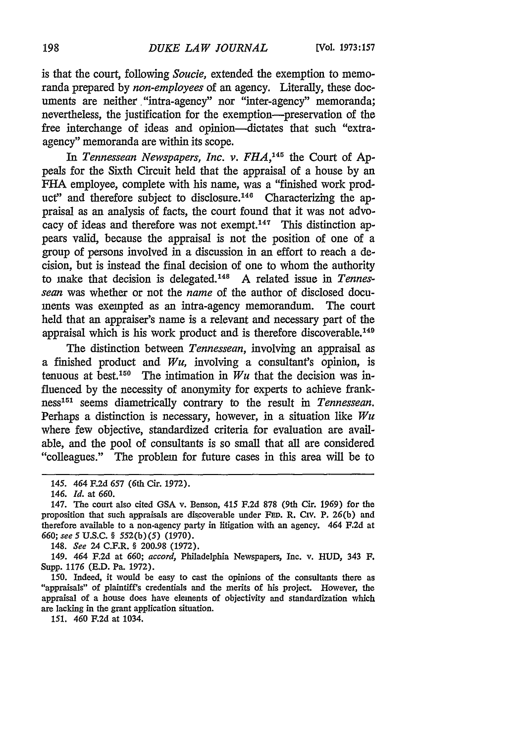is that the court, following *Soucie,* extended the exemption to memoranda prepared by *non-employees* of an agency. Literally, these documents are neither "intra-agency" nor "inter-agency" memoranda; nevertheless, the justification for the exemption-preservation of the free interchange of ideas and opinion-dictates that such "extraagency" memoranda are within its scope.

In Tennessean Newspapers, Inc. v. FHA,<sup>145</sup> the Court of Appeals for the Sixth Circuit held that the appraisal of a house by an FHA employee, complete with his name, was a "finished work product" and therefore subject to disclosure.<sup>146</sup> Characterizing the appraisal as an analysis of facts, the court found that it was not advocacy of ideas and therefore was not exempt.<sup>147</sup> This distinction appears valid, because the appraisal is not the position of one of a group of persons involved in a discussion in an effort to reach a decision, but is instead the final decision of one to whom the authority to make that decision is delegated.<sup>148</sup> A related issue in *Tennessean* was whether or not the *name* of the author of disclosed documents was exempted as an intra-agency memorandum. The court held that an appraiser's name is a relevant and necessary part of the appraisal which is his work product and is therefore discoverable.<sup>149</sup>

The distinction between *Tennessean,* involving an appraisal as a finished product and  $Wu$ , involving a consultant's opinion, is tenuous at best.<sup>150</sup> The intimation in  $Wu$  that the decision was influenced by the necessity of anonymity for experts to achieve frank**ness151** seems diametrically contrary to the result in *Tennessean.* Perhaps a distinction is necessary, however, in a situation like *Wu* where few objective, standardized criteria for evaluation are available, and the pool of consultants is so small that all are considered "colleagues." The problem for future cases in this area will be to

148. *See* 24 C.F.R. § 200.98 (1972).

149. 464 F.2d at *660; accord,* Philadelphia Newspapers, Inc. v. HUD, 343 F. Supp. 1176 **(E.D. Pa. 1972).**

150. Indeed, it would be easy to cast the opinions of the consultants there as "appraisals" of plaintiff's credentials and the merits of his project. However, the appraisal of a house does have elements of objectivity and standardization which are lacking in the grant application situation.

**151.** 460 **F.2d** at 1034.

<sup>145. 464</sup> **F.2d** *657* (6th Cir. 1972).

<sup>146.</sup> *Id.* at 660.

<sup>147.</sup> The court also cited GSA v. Benson, 415 F.2d 878 (9th Cir. 1969) for the proposition that such appraisals are discoverable under FED. R. Civ. P. 26(b) and therefore available to a non-agency party in litigation with an agency. 464 F.2d at *660; see* **5** U.S.C. § 552(b)(5) (1970).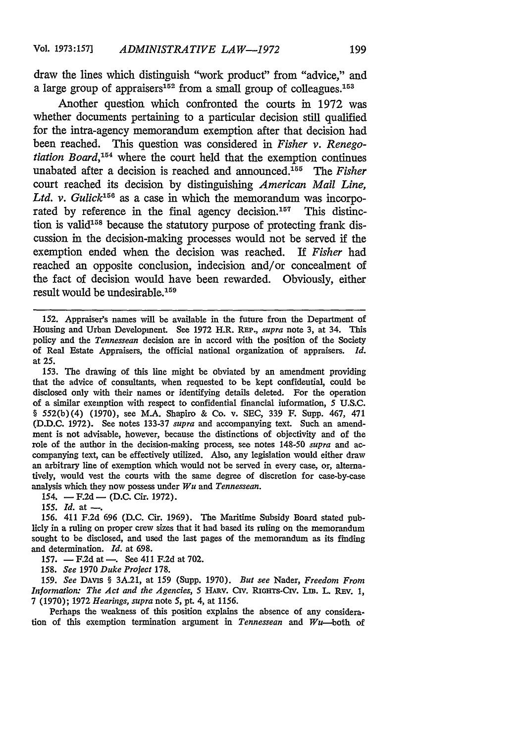draw the lines which distinguish "work product" from "advice," and a large group of appraisers<sup>152</sup> from a small group of colleagues.<sup>153</sup>

Another question which confronted the courts in 1972 was whether documents pertaining to a particular decision still qualified for the intra-agency memorandum exemption after that decision had been reached. This question was considered in *Fisher v. Renegotiation Board*,<sup>154</sup> where the court held that the exemption continues unabated after a decision is reached and announced.<sup>155</sup> The *Fisher* court reached its decision by distinguishing *American Mail Line,* Ltd. v. Gulick<sup>156</sup> as a case in which the memorandum was incorporated by reference in the final agency decision.<sup>157</sup> This distinction is valid<sup>158</sup> because the statutory purpose of protecting frank discussion in the decision-making processes would not be served if the exemption ended when the decision was reached. If *Fisher* had reached an opposite conclusion, indecision and/or concealment of the fact of decision would have been rewarded. Obviously, either result would be undesirable.<sup>159</sup>

**152.** Appraiser's names will be available in the future from the Department of Housing and Urban Development. See 1972 H.R. **REP.,** *supra* note 3, at 34. This policy and the *Tennessean* decision are in accord with the position of the Society of Real Estate Appraisers, the official national organization of appraisers. *Id.* at 25.

153. **The** drawing of this line might be obviated by an amendment providing that the advice of consultants, when requested to be kept confidential, could be disclosed only with their names or identifying details deleted. For the operation of a similar exemption with respect to confidential financial information, **5** U.S.C. § 552(b) (4) (1970), see M.A. Shapiro & Co. v. SEC, 339 F. Supp. 467, 471 **(D.D.C.** 1972). See notes 133-37 *supra* and accompanying text. Such an amendment is not advisable, however, because the distinctions of objectivity and of the role of the author in the decision-making process, see notes 148-50 *supra* and accompanying text, can be effectively utilized. Also, any legislation would either **draw** an arbitrary line of exemption which would not be served in every case, or, alternatively, would vest the courts with the same degree of discretion for case-by-case analysis which they now possess under *Wu* and *Tennessean.*

 $154. - F.2d - (D.C. Cir. 1972).$ 

 $155.$  *Id.* at  $-$ .

*156.* 411 F.2d 696 (D.C. Cir. 1969). The Maritime Subsidy Board stated publicly in a ruling on proper crew sizes that it had based its ruling on the memorandum sought to be disclosed, and used the last pages of the memorandum as its finding and determination. *Id.* at 698.

157.  $-$  F.2d at  $-$ . See 411 F.2d at 702.

158. *See* 1970 *Duke Project* 178.

159. *See* DAvis § 3A.21, at 159 (Supp. 1970). *But see* Nader, *Freedom From Information: The Act and the Agencies,* 5 **HARV.** Crv. RIGHTs-Crv. Lm. L. REv. **1,** 7 (1970); 1972 *Hearings, supra* note 5, pt. 4, at 1156.

Perhaps the weakness of this position explains the absence of any considera. tion of this exemption termination argument in *Tennessean* and Wu-both of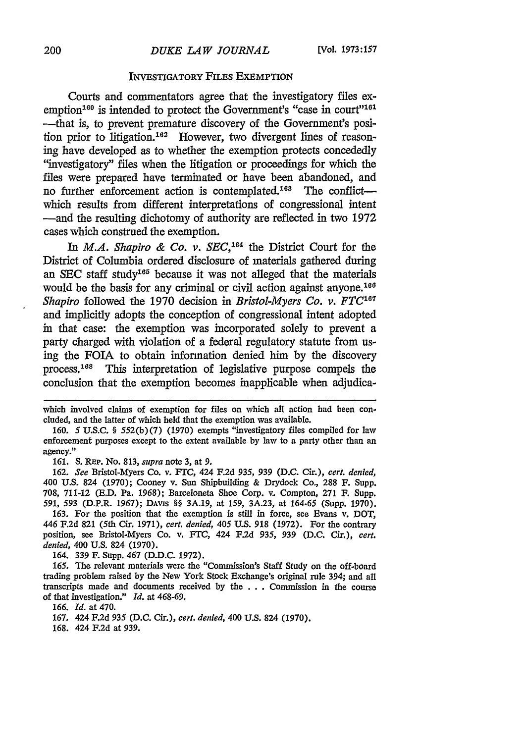#### INVESTIGATORY FILES EXEMPTION

Courts and commentators agree that the investigatory files exemption<sup>160</sup> is intended to protect the Government's "case in court"<sup>161</sup> ---that is, to prevent premature discovery of the Government's position prior to litigation.<sup>162</sup> However, two divergent lines of reasoning have developed as to whether the exemption protects concededly "investigatory" files when the litigation or proceedings for which the files were prepared have terminated or have been abandoned, and no further enforcement action is contemplated.<sup>168</sup> The conflictwhich results from different interpretations of congressional intent -and the resulting dichotomy of authority are reflected in two 1972 cases which construed the exemption.

In *M.A. Shapiro & Co. v. SEC*,<sup>164</sup> the District Court for the District of Columbia ordered disclosure of materials gathered during an SEC staff study165 because it was not alleged that the materials would be the basis for any criminal or civil action against anyone.<sup>160</sup> *Shapiro* followed the 1970 decision in *Bristol-Myers Co. v. FTC*<sup>107</sup> and implicitly adopts the conception of congressional intent adopted in that case: the exemption was incorporated solely to prevent a party charged with violation of a federal regulatory statute from using the FOIA to obtain information denied him by the discovery process.<sup>168</sup> This interpretation of legislative purpose compels the conclusion that the exemption becomes inapplicable when adjudica-

161. **S. REP.** No. 813, *supra* note 3, at **9.**

162. *See* Bristol-Myers Co. v. FrC, 424 F.2d 935, 939 (D.C. Cir.), *cert. denied,* 400 U.S. 824 (1970); Cooney v. Sun Shipbuilding & Drydock Co., 288 F. Supp. 708, 711-12 (E.D. Pa. 1968); Barceloneta Shoe Corp. v. Compton, 271 F. Supp. *591,* 593 (D.P.R. 1967); DAvis §§ 3A.19, at 159, 3A.23, at 164-65 (Supp. 1970).

163. For the position that the exemption is still in force, see Evans v. DOT, 446 F.2d **821** (5th Cir. 1971), *cert. denied,* 405 **U.S.** 918 (1972). For the contrary position, see Bristol-Myers Co. v. FTC, 424 F.2d *935,* 939 (D.C. Cir.), *cert. denied,* 400 U.S. 824 (1970).

164. 339 **F.** Supp. 467 (D.D.C. 1972).

165. The relevant materials were the "Commission's Staff Study on the off-board trading problem raised by the New York Stock Exchange's original rule 394; and all transcripts made and documents received by the ... Commission in the course of that investigation." *Id.* at 468-69.

166. *Id.* at 470.

which involved claims of exemption for files on which all action had been concluded, and the latter of which held that the exemption was available.

<sup>160.</sup> *5* U.S.C. § 552(b) (7) (1970) exempts "investigatory files compiled for law enforcement purposes except to the extent available by law to a party other than an agency."

<sup>167. 424</sup> F.2d 935 (D.C. Cir.), *cert. denied,* 400 U.S. 824 (1970).

<sup>168. 424</sup> **F.2d** at 939.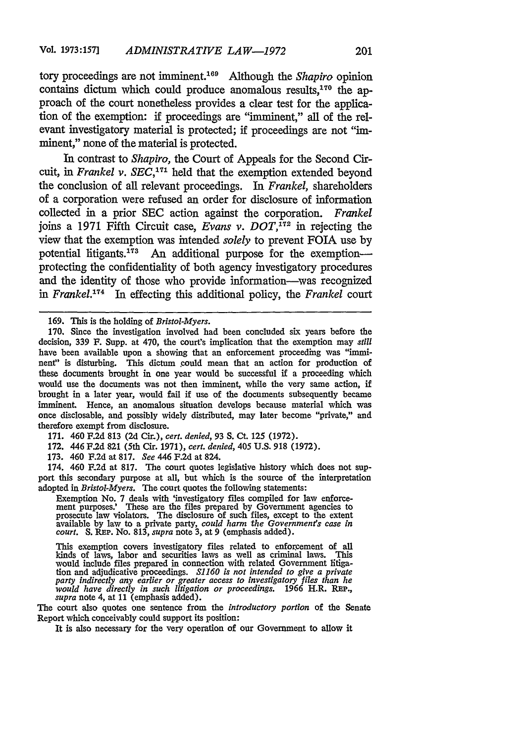tory proceedings are not imminent."6 9 Although the *Shapiro* opinion contains dictum which could produce anomalous results, $170$  the approach of the court nonetheless provides a clear test for the application of the exemption: if proceedings are "imminent," all of the relevant investigatory material is protected; if proceedings are not "imminent," none of the material is protected.

In contrast to *Shapiro,* the Court of Appeals for the Second Circuit, in *Frankel v. SEC*,<sup>171</sup> held that the exemption extended beyond the conclusion of all relevant proceedings. In *Frankel,* shareholders of a corporation were refused an order for disclosure of information collected in a prior SEC action against the corporation. *Frankel* joins a 1971 Fifth Circuit case, *Evans v. DOT,12* in rejecting the view that the exemption was intended *solely* to prevent FOIA use by potential litigants.<sup>173</sup> An additional purpose for the exemptionprotecting the confidentiality of both agency investigatory procedures and the identity of those who provide information-was recognized in *Frankel.*<sup>174</sup> In effecting this additional policy, the *Frankel* court

171. 460 F.2d 813 (2d Cir.), *cert. denied,* 93 **S.** Ct. 125 (1972).

172. 446 F.2d 821 (5th Cir. **1971),** *cert. denied,* 405 U.S. 918 (1972).

173. 460 F.2d at 817. *See* 446 F.2d at 824.

174. 460 **F.2d** at 817. The court quotes legislative history which does not support this secondary purpose at all, but which is the source of the interpretation adopted in *Bristol-Myers.* The court quotes the following statements:

Exemption No. 7 deals with 'investigatory files compiled for law enforcement purposes.' These are the files prepared by Government agencies to prosecute law violators. The disclosure of such files, except to the extent available by law to a private party, *could harm the Government's case in c* 

This exemption covers investigatory files related to enforcement of all kinds of laws, labor and securities laws as well as criminal laws. This would include files prepared in connection with related Government hitigation and adjudicative proceedings. S1160 is not intended to give a private party indirectly any earlier or greater access to investigatory files than *would have directly in such litigation or proceedings.* **1966** H.R. **RP.,** *supra* note 4, at 11 (emphasis added).

The court also quotes one sentence from the *introductory portion* of the Senate Report which conceivably could support its position:

It is also necessary for the very operation of our Government to allow it

<sup>169.</sup> This is the holding of *Bristol-Myers.*

<sup>170.</sup> Since the investigation involved had been concluded six years before the decision, 339 F. Supp. at 470, the court's implication that the exemption may *still* have been available upon a showing that an enforcement proceeding was "imminent" is disturbing. This dictum could mean that an action for production of these documents brought in one year would be successful if a proceeding which would use the documents was not then imminent, while the very same action, if brought in a later year, would fail if use of the documents subsequently became imminent. Hence, an anomalous situation develops because material which was once disclosable, and possibly widely distributed, may later become "private," and therefore exempt from disclosure.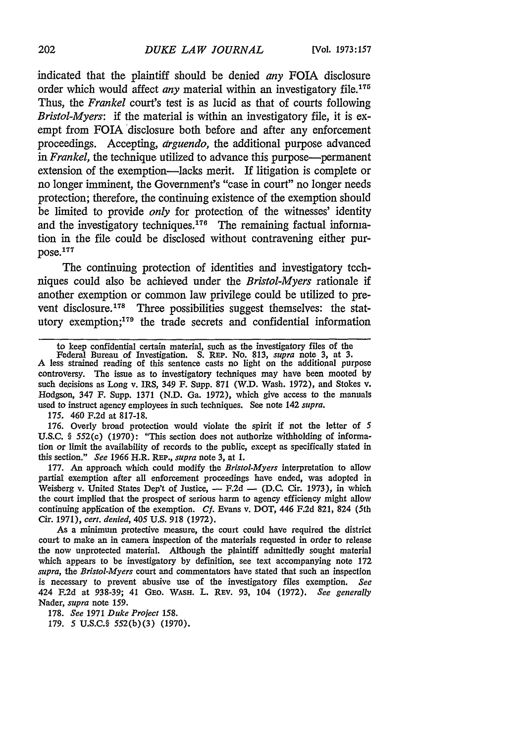indicated that the plaintiff should be denied *any* FOIA disclosure order which would affect *any* material within an investigatory file.<sup>17t</sup> Thus, the *Frankel* court's test is as lucid as that of courts following *Bristol-Myers:* if the material is within an investigatory file, it is exempt from FOTA disclosure both before and after any enforcement proceedings. Accepting, *arguendo,* the additional purpose advanced *in Frankel,* the technique utilized to advance this purpose-permanent extension of the exemption-lacks merit. If litigation is complete or no longer imminent, the Government's "case in court" no longer needs protection; therefore, the continuing existence of the exemption should be limited to provide *only* for protection of the witnesses' identity and the investigatory techniques.<sup>176</sup> The remaining factual information in the file could be disclosed without contravening either purpose.177

The continuing protection of identities and investigatory techniques could also be achieved under the *Bristol-Myers* rationale if another exemption or common law privilege could be utilized to prevent disclosure.<sup>178</sup> Three possibilities suggest themselves: the statutory exemption;<sup>179</sup> the trade secrets and confidential information

175. 460 F.2d at 817-18.

176. Overly broad protection would violate the spirit if not the letter of *5* U.S.C. § 552(c) (1970): "This section does not authorize withholding of information or limit the availability of records to the public, except as specifically stated in this section." *See* 1966 H.R. **REP.,** *supra* note 3, at 1.

177. An approach which could modify the *Bristol-Myers* interpretation to allow partial exemption after all enforcement proceedings have ended, was adopted in Weisberg v. United States Dep't of Justice,  $-$  F.2d  $-$  (D.C. Cir. 1973), in which the court implied that the prospect of serious harm to agency efficiency might allow continuing application of the exemption. *Cf.* Evans v. DOT, 446 F.2d 821, 824 (5th Cir. 1971), *cert. denied,* 405 U.S. 918 (1972).

As a minimum protective measure, the court could have required the district court to make an in camera inspection of the materials requested in order to release the now unprotected material. Although the plaintiff admittedly sought material which appears to be investigatory by definition, see text accompanying note 172 *supra,* the *Bristol-Myers* court and commentators have stated that such an inspection is necessary to prevent abusive use of the investigatory files exemption. *See* 424 **F.2d** at 938-39; 41 GEO. **WASH.** L. REv. 93, 104 (1972). *See generally* Nader, *supra* note 159.

178. *See* 1971 *Duke Project 158.* 179. 5 U.S.C.§ 552(b)(3) (1970).

to keep confidential certain material, such as the investigatory files of the

Federal Bureau of Investigation. S. REP. No. 813, *supra* note 3, at 3. A less strained reading of this sentence casts no light on the additional purpose controversy. The issue as to investigatory techniques may have been mooted by such decisions as Long v. IRS, 349 F. Supp. 871 (W.D. Wash. 1972), and Stokes v. Hodgson, 347 F. Supp. 1371 (N.D. Ga. 1972), which give access to the manuals used to instruct agency employees in such techniques. See note 142 *supra.*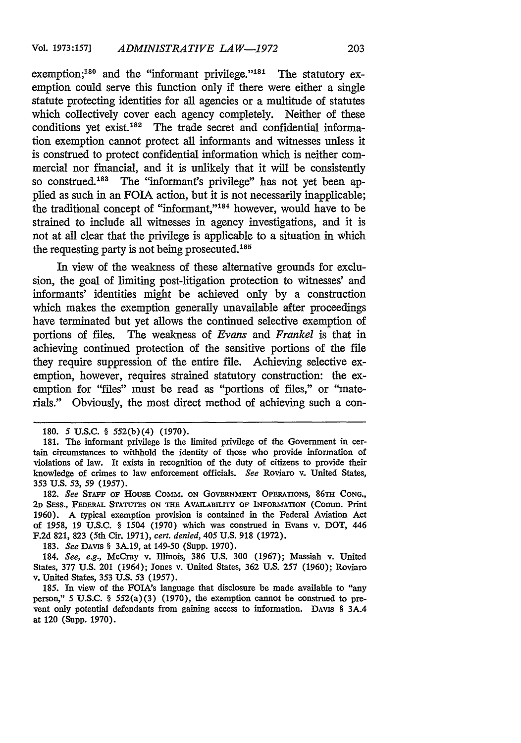exemption;<sup>180</sup> and the "informant privilege."<sup>181</sup> The statutory exemption could serve this function only if there were either a single statute protecting identities for all agencies or a multitude of statutes which collectively cover each agency completely. Neither of these conditions yet exist.<sup>182</sup> The trade secret and confidential information exemption cannot protect all informants and witnesses unless it is construed to protect confidential information which is neither commercial nor financial, and it is unlikely that it will be consistently so construed.<sup>183</sup> The "informant's privilege" has not yet been applied as such in an FOIA action, but it is not necessarily inapplicable; the traditional concept of "informant," $184$  however, would have to be strained to include all witnesses in agency investigations, and it is not at all clear that the privilege is applicable to a situation in which the requesting party is not being prosecuted. $185$ 

In view of the weakness of these alternative grounds for exclusion, the goal of limiting post-litigation protection to witnesses' and informants' identities might be achieved only by a construction which makes the exemption generally unavailable after proceedings have terminated but yet allows the continued selective exemption of portions of files. The weakness of *Evans and Frankel* is that in achieving continued protection of the sensitive portions of the file they require suppression of the entire file. Achieving selective exemption, however, requires strained statutory construction: the exemption for "files" must be read as "portions of files," or "materials." Obviously, the most direct method of achieving such a con-

183. *See* DAvis § 3A.19, at 149-50 (Supp. 1970).

184. *See, e.g.,* McCray v. Illinois, 386 U.S. 300 (1967); Massiah v. United States, 377 U.S. 201 (1964); Jones v. United States, 362 U.S. 257 (1960); Roviaro v. United States, 353 U.S. 53 (1957).

<sup>180. 5</sup> U.S.C. § 552(b)(4) (1970).

<sup>181.</sup> The informant privilege is the limited privilege of the Government in certain circumstances to withhold the identity of those who provide information of violations of law. It exists in recognition of the duty of citizens to provide their knowledge of crimes to law enforcement officials. *See* Roviaro v. United States, 353 U.S. 53, 59 (1957).

**<sup>182.</sup>** *See* **STAFF** OF Housa COMM. ON **GOVERNMENT OPERATIONS, 86TH CONG., 2D** *SESS.,* FEDERAL **STATUTES ON THE AvAILABILITY** OF INFORMATION (Comm. Print 1960). A typical exemption provision is contained in the Federal Aviation Act of 1958, 19 U.S.C. § 1504 (1970) which was construed in Evans v. DOT, 446 F.2d 821, 823 (5th Cir. 1971), *cert. denied, 405* U.S. 918 (1972).

<sup>185.</sup> In view of the FOIA's language that disclosure be made available to "any person," 5 U.S.C. § 552(a)(3) (1970), the exemption cannot be construed to prevent only potential defendants from gaining access to information. DAvis § 3A.4 at 120 (Supp. 1970).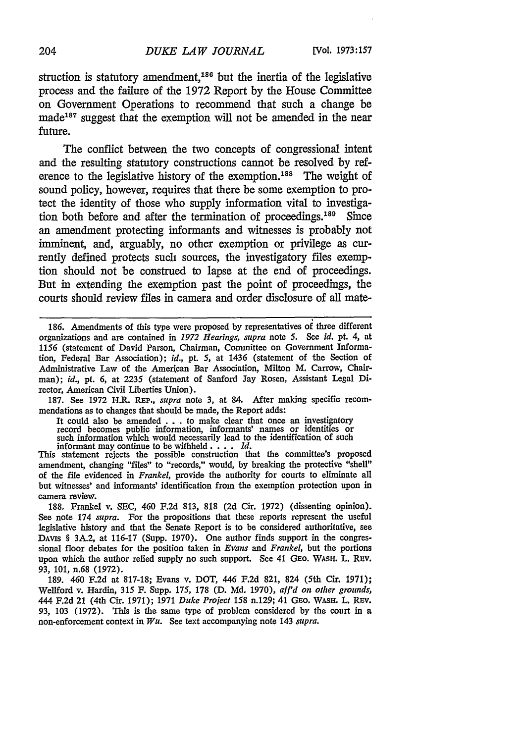struction is statutory amendment,<sup>186</sup> but the inertia of the legislative process and the failure of the 1972 Report by the House Committee on Government Operations to recommend that such a change be made<sup>187</sup> suggest that the exemption will not be amended in the near future.

The conflict between the two concepts of congressional intent and the resulting statutory constructions cannot be resolved by reference to the legislative history of the exemption.<sup>188</sup> The weight of sound policy, however, requires that there be some exemption to protect the identity of those who supply information vital to investigation both before and after the termination of proceedings.<sup>189</sup> Since an amendment protecting informants and witnesses is probably not imminent, and, arguably, no other exemption or privilege as currently defined protects such sources, the investigatory files exemption should not be construed to lapse at the end of proceedings. But in extending the exemption past the point of proceedings, the courts should review files in camera and order disclosure of all mate-

**186.** Amendments of this type were proposed **by** representatives of three different organizations and are contained in *1972 Hearings, supra* note 5. See *id. pt. 4,* at 1156 (statement of David Parson, Chairman, Committee on Government Information, Federal Bar Association); id., *pt.* 5, at 1436 (statement of the Section of Administrative Law of the American Bar Association, Milton M. Carrow, Chairman); *id., pt.* 6, at 2235 (statement of Sanford Jay Rosen, Assistant Legal Director, American Civil Liberties Union).

187. See 1972 H.R. REP., *supra* note 3, at 84. After making specific recommendations as to changes that should be made, the Report adds:

It could also be amended . **.** . to make clear that once an investigatory record becomes public information, informants' names or identities or such information which would necessarily lead to the identification of such informant may continue to be withheld .... *Id.*

This statement rejects the possible construction that the committee's proposed amendment, changing "files" to "records," would, by breaking the protective "shell" of the file evidenced in *Frankel,* provide the authority for courts to eliminate all but witnesses' and informants' identification from the exemption protection upon in camera review.

188. Frankel v. SEC, 460 F.2d 813, 818 (2d Cir. 1972) (dissenting opinion). See note 174 *supra.* For the propositions that these reports represent the useful legislative history and that the Senate Report is to be considered authoritative, see **DAVIs** § 3A.2, at 116-17 (Supp. 1970). One author finds support in the congressional floor debates for the position taken in *Evans and Frankel,* but the portions upon which the author relied supply no such support. See 41 GEo. WASH. L. REv. 93, 101, n.68 (1972).

189. 460 **F.2d** at 817-18; Evans v. DOT, 446 F.2d 821, 824 (5th Cir. 1971); Wellford v. Hardin, 315 F. Supp. 175, 178 (D. Md. 1970), *afl'd on other grounds,* 444 F.2d 21 (4th Cir. 1971); 1971 *Duke Project 158* n.129; 41 GEo. WASH. L. REV. 93, 103 (1972). This is the same type of problem considered by the court in a non-enforcement context in *Wu.* See text accompanying note 143 *supra.*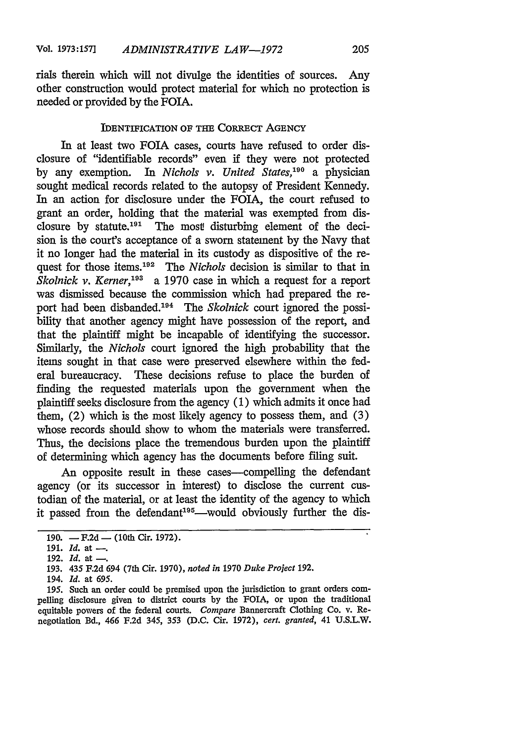rials therein which will not divulge the identities of sources. Any other construction would protect material for which no protection is needed or provided by the FOTA.

## IDENTIFICATION OF THE CORRECT AGENCY

In at least two FOIA cases, courts have refused to order disclosure of "identifiable records" even if they were not protected by any exemption. In *Nichols v. United States,'<sup>90</sup>*a physician sought medical records related to the autopsy of President Kennedy. In an action for disclosure under the FOIA, the court refused to grant an order, holding that the material was exempted from disclosure by statute.<sup>191</sup> The most disturbing element of the decision is the court's acceptance of a sworn statement by the Navy that it no longer had the material in its custody as dispositive of the request for those items.<sup>192</sup> The *Nichols* decision is similar to that in *Skolnick v. Kerner*,<sup>193</sup> a 1970 case in which a request for a report was dismissed because the commission which had prepared the report had been disbanded.<sup>194</sup> The Skolnick court ignored the possibility that another agency might have possession of the report, and that the plaintiff might be incapable of identifying the successor. Similarly, the *Nichols* court ignored the high probability that the items sought in that case were preserved elsewhere within the federal bureaucracy. These decisions refuse to place the burden of finding the requested materials upon the government when the plaintiff seeks disclosure from the agency (1) which admits it once had them, (2) which is the most likely agency to possess them, and (3) whose records should show to whom the materials were transferred. Thus, the decisions place the tremendous burden upon the plaintiff of determining which agency has the documents before filing suit.

An opposite result in these cases—compelling the defendant agency (or its successor in interest) to disclose the current custodian of the material, or at least the identity of the agency to which it passed from the defendant<sup>195</sup>—would obviously further the dis-

195. Such an order could be premised upon the jurisdiction to grant orders compelling disclosure given to district courts **by** the FOIA, or upon the traditional equitable powers of the federal courts. *Compare* Bannercraft Clothing Co. v. Renegotiation Bd., 466 F.2d 345, 353 (D.C. Cir. 1972), *cert. granted,* 41 U.S.L.W.

<sup>190.</sup> **-** F.2d **-** (10th Cir. 1972).

<sup>191.</sup> *Id.* at --

<sup>192.</sup> *Id.* at -..

<sup>193. 435</sup> F.2d 694 (7th Cir. 1970), *noted in* 1970 *Duke Project* 192.

<sup>194.</sup> *Id.* at **695.**